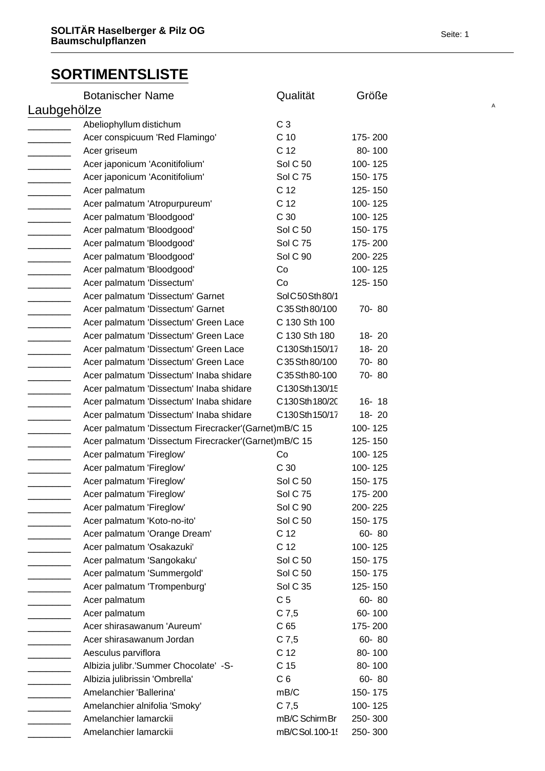| <b>Botanischer Name</b>                              | Qualität         | Größe     |
|------------------------------------------------------|------------------|-----------|
| Laubgehölze                                          |                  |           |
| Abeliophyllum distichum                              | C <sub>3</sub>   |           |
| Acer conspicuum 'Red Flamingo'                       | C <sub>10</sub>  | 175-200   |
| Acer griseum                                         | C 12             | 80-100    |
| Acer japonicum 'Aconitifolium'                       | <b>Sol C 50</b>  | 100-125   |
| Acer japonicum 'Aconitifolium'                       | <b>Sol C 75</b>  | 150-175   |
| Acer palmatum                                        | C <sub>12</sub>  | 125-150   |
| Acer palmatum 'Atropurpureum'                        | C <sub>12</sub>  | 100-125   |
| Acer palmatum 'Bloodgood'                            | C 30             | 100-125   |
| Acer palmatum 'Bloodgood'                            | <b>Sol C 50</b>  | 150-175   |
| Acer palmatum 'Bloodgood'                            | <b>Sol C 75</b>  | 175-200   |
| Acer palmatum 'Bloodgood'                            | Sol C 90         | 200-225   |
| Acer palmatum 'Bloodgood'                            | Co               | 100-125   |
| Acer palmatum 'Dissectum'                            | Co               | 125-150   |
| Acer palmatum 'Dissectum' Garnet                     | Sol C50 Sth 80/1 |           |
| Acer palmatum 'Dissectum' Garnet                     | C 35 Sth 80/100  | 70-80     |
| Acer palmatum 'Dissectum' Green Lace                 | C 130 Sth 100    |           |
| Acer palmatum 'Dissectum' Green Lace                 | C 130 Sth 180    | 18-20     |
| Acer palmatum 'Dissectum' Green Lace                 | C130Sth150/17    | 18-20     |
| Acer palmatum 'Dissectum' Green Lace                 | C 35 Sth 80/100  | 70-80     |
| Acer palmatum 'Dissectum' Inaba shidare              | C 35 Sth 80-100  | 70-80     |
| Acer palmatum 'Dissectum' Inaba shidare              | C130Sth130/15    |           |
| Acer palmatum 'Dissectum' Inaba shidare              | C130Sth180/20    | $16 - 18$ |
| Acer palmatum 'Dissectum' Inaba shidare              | C130Sth150/17    | 18-20     |
| Acer palmatum 'Dissectum Firecracker'(Garnet)mB/C 15 |                  | 100-125   |
| Acer palmatum 'Dissectum Firecracker'(Garnet)mB/C 15 |                  | 125-150   |
| Acer palmatum 'Fireglow'                             | Co               | 100-125   |
| Acer palmatum 'Fireglow'                             | C 30             | 100-125   |
| Acer palmatum 'Fireglow'                             | <b>Sol C 50</b>  | 150-175   |
| Acer palmatum 'Fireglow'                             | <b>Sol C 75</b>  | 175-200   |
| Acer palmatum 'Fireglow'                             | Sol C 90         | 200-225   |
| Acer palmatum 'Koto-no-ito'                          | <b>Sol C 50</b>  | 150-175   |
| Acer palmatum 'Orange Dream'                         | C 12             | 60-80     |
| Acer palmatum 'Osakazuki'                            | C 12             | 100-125   |
| Acer palmatum 'Sangokaku'                            | <b>Sol C 50</b>  | 150-175   |
| Acer palmatum 'Summergold'                           | <b>Sol C 50</b>  | 150-175   |
| Acer palmatum 'Trompenburg'                          | <b>Sol C 35</b>  | 125-150   |
| Acer palmatum                                        | C <sub>5</sub>   | 60-80     |
| Acer palmatum                                        | $C$ 7,5          | 60-100    |
| Acer shirasawanum 'Aureum'                           | C <sub>65</sub>  | 175-200   |
| Acer shirasawanum Jordan                             | $C$ 7,5          | 60-80     |
| Aesculus parviflora                                  | C 12             | 80-100    |
| Albizia julibr.'Summer Chocolate' -S-                | C <sub>15</sub>  | 80-100    |
| Albizia julibrissin 'Ombrella'                       | C <sub>6</sub>   | 60-80     |
| Amelanchier 'Ballerina'                              | mB/C             | 150-175   |
| Amelanchier alnifolia 'Smoky'                        | $C$ 7,5          | 100-125   |
| Amelanchier lamarckii                                | mB/C Schirm Br   | 250-300   |
| Amelanchier lamarckii                                | mB/CSol.100-15   | 250-300   |
|                                                      |                  |           |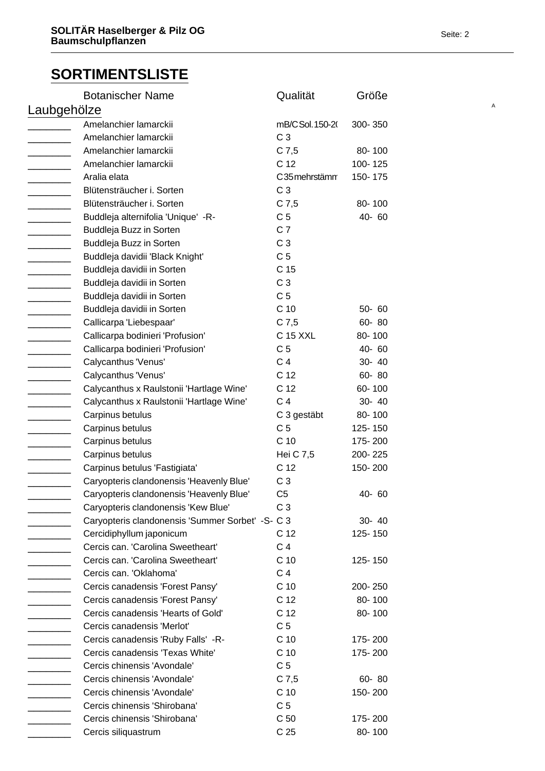| <b>Botanischer Name</b>                           | Qualität        | Größe             |  |
|---------------------------------------------------|-----------------|-------------------|--|
| Laubgehölze                                       |                 |                   |  |
| Amelanchier lamarckii                             | mB/CSol. 150-20 | 300-350           |  |
| Amelanchier lamarckii                             | C <sub>3</sub>  |                   |  |
| Amelanchier lamarckii                             | $C$ 7,5         | 80-100            |  |
| Amelanchier lamarckii                             | C 12            | 100-125           |  |
| Aralia elata                                      | C35 mehrstämm   | 150-175           |  |
| Blütensträucher i. Sorten                         | C <sub>3</sub>  |                   |  |
| Blütensträucher i. Sorten                         | $C$ 7,5         | 80-100            |  |
| Buddleja alternifolia 'Unique' -R-                | C <sub>5</sub>  | 40-60             |  |
| Buddleja Buzz in Sorten                           | C <sub>7</sub>  |                   |  |
| Buddleja Buzz in Sorten                           | C <sub>3</sub>  |                   |  |
| Buddleja davidii 'Black Knight'                   | C <sub>5</sub>  |                   |  |
| Buddleja davidii in Sorten                        | C 15            |                   |  |
| Buddleja davidii in Sorten                        | C <sub>3</sub>  |                   |  |
| Buddleja davidii in Sorten                        | C <sub>5</sub>  |                   |  |
| Buddleja davidii in Sorten                        | C 10            | $50 - 60$         |  |
| Callicarpa 'Liebespaar'                           | $C$ 7,5         | 60-80             |  |
| Callicarpa bodinieri 'Profusion'                  | C 15 XXL        | 80-100            |  |
| Callicarpa bodinieri 'Profusion'                  | C <sub>5</sub>  | 40-60             |  |
| Calycanthus 'Venus'                               | C <sub>4</sub>  | 30- 40            |  |
| Calycanthus 'Venus'                               | C 12            | 60-80             |  |
| Calycanthus x Raulstonii 'Hartlage Wine'          | C 12            | 60-100            |  |
| Calycanthus x Raulstonii 'Hartlage Wine'          | C <sub>4</sub>  | 30- 40            |  |
| Carpinus betulus                                  | C 3 gestäbt     | 80-100            |  |
| Carpinus betulus                                  | C <sub>5</sub>  | 125-150           |  |
| Carpinus betulus                                  | C <sub>10</sub> | 175-200           |  |
| Carpinus betulus                                  | Hei C 7,5       | 200-225           |  |
| Carpinus betulus 'Fastigiata'                     | C 12            | 150-200           |  |
| Caryopteris clandonensis 'Heavenly Blue'          | C <sub>3</sub>  |                   |  |
| Caryopteris clandonensis 'Heavenly Blue'          | C <sub>5</sub>  | 40-60             |  |
| Caryopteris clandonensis 'Kew Blue'               | C <sub>3</sub>  |                   |  |
| Caryopteris clandonensis 'Summer Sorbet' - S- C 3 |                 | 30- 40            |  |
| Cercidiphyllum japonicum                          | C 12            | 125-150           |  |
| Cercis can. 'Carolina Sweetheart'                 | C <sub>4</sub>  |                   |  |
| Cercis can. 'Carolina Sweetheart'                 | C <sub>10</sub> | 125-150           |  |
| Cercis can. 'Oklahoma'                            | C <sub>4</sub>  |                   |  |
|                                                   | C <sub>10</sub> |                   |  |
| Cercis canadensis 'Forest Pansy'                  | C 12            | 200-250<br>80-100 |  |
| Cercis canadensis 'Forest Pansy'                  |                 |                   |  |
| Cercis canadensis 'Hearts of Gold'                | C <sub>12</sub> | 80-100            |  |
| Cercis canadensis 'Merlot'                        | C <sub>5</sub>  |                   |  |
| Cercis canadensis 'Ruby Falls' -R-                | C 10            | 175-200           |  |
| Cercis canadensis 'Texas White'                   | C <sub>10</sub> | 175-200           |  |
| Cercis chinensis 'Avondale'                       | C <sub>5</sub>  |                   |  |
| Cercis chinensis 'Avondale'                       | $C$ 7,5         | 60-80             |  |
| Cercis chinensis 'Avondale'                       | C 10            | 150-200           |  |
| Cercis chinensis 'Shirobana'                      | C <sub>5</sub>  |                   |  |
| Cercis chinensis 'Shirobana'                      | C <sub>50</sub> | 175-200           |  |
| Cercis siliquastrum                               | C <sub>25</sub> | 80-100            |  |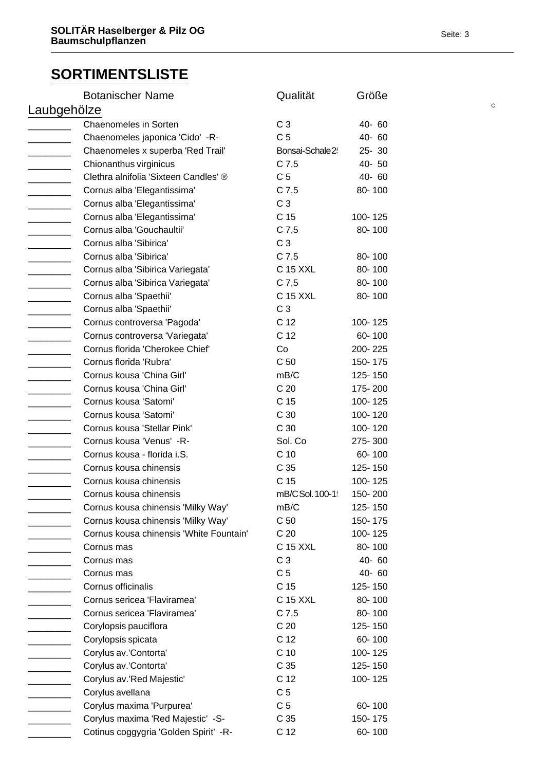|             | <b>Botanischer Name</b>                 | Qualität         | Größe     |             |
|-------------|-----------------------------------------|------------------|-----------|-------------|
| Laubgehölze |                                         |                  |           | $\mathbf C$ |
|             | <b>Chaenomeles in Sorten</b>            | C <sub>3</sub>   | 40-60     |             |
|             | Chaenomeles japonica 'Cido' -R-         | C <sub>5</sub>   | 40-60     |             |
|             | Chaenomeles x superba 'Red Trail'       | Bonsai-Schale 2! | $25 - 30$ |             |
|             | Chionanthus virginicus                  | $C$ 7,5          | 40-50     |             |
|             | Clethra alnifolia 'Sixteen Candles' ®   | C <sub>5</sub>   | 40-60     |             |
|             | Cornus alba 'Elegantissima'             | $C$ 7,5          | 80-100    |             |
|             | Cornus alba 'Elegantissima'             | C <sub>3</sub>   |           |             |
|             | Cornus alba 'Elegantissima'             | C <sub>15</sub>  | 100-125   |             |
|             | Cornus alba 'Gouchaultii'               | $C$ 7,5          | 80-100    |             |
|             | Cornus alba 'Sibirica'                  | C <sub>3</sub>   |           |             |
|             | Cornus alba 'Sibirica'                  | $C$ 7,5          | 80-100    |             |
|             | Cornus alba 'Sibirica Variegata'        | C 15 XXL         | 80-100    |             |
|             | Cornus alba 'Sibirica Variegata'        | $C$ 7,5          | 80-100    |             |
|             | Cornus alba 'Spaethii'                  | C 15 XXL         | 80-100    |             |
|             | Cornus alba 'Spaethii'                  | C <sub>3</sub>   |           |             |
|             | Cornus controversa 'Pagoda'             | C <sub>12</sub>  | 100-125   |             |
|             | Cornus controversa 'Variegata'          | C <sub>12</sub>  | 60-100    |             |
|             | Cornus florida 'Cherokee Chief'         | Co               | 200-225   |             |
|             | Cornus florida 'Rubra'                  | C <sub>50</sub>  | 150-175   |             |
|             | Cornus kousa 'China Girl'               | mB/C             | 125-150   |             |
|             | Cornus kousa 'China Girl'               | C <sub>20</sub>  | 175-200   |             |
|             | Cornus kousa 'Satomi'                   | C <sub>15</sub>  | 100-125   |             |
|             | Cornus kousa 'Satomi'                   | C <sub>30</sub>  | 100-120   |             |
|             | Cornus kousa 'Stellar Pink'             | C 30             | 100-120   |             |
|             | Cornus kousa 'Venus' -R-                | Sol. Co          | 275-300   |             |
|             | Cornus kousa - florida i.S.             | C <sub>10</sub>  | 60-100    |             |
|             | Cornus kousa chinensis                  | C <sub>35</sub>  | 125-150   |             |
|             | Cornus kousa chinensis                  | C <sub>15</sub>  | 100-125   |             |
|             | Cornus kousa chinensis                  | mB/C Sol. 100-1! | 150-200   |             |
|             | Cornus kousa chinensis 'Milky Way'      | mB/C             | 125-150   |             |
|             | Cornus kousa chinensis 'Milky Way'      | C <sub>50</sub>  | 150-175   |             |
|             | Cornus kousa chinensis 'White Fountain' | C <sub>20</sub>  | 100-125   |             |
|             | Cornus mas                              | C 15 XXL         | 80-100    |             |
|             | Cornus mas                              | C <sub>3</sub>   | 40-60     |             |
|             | Cornus mas                              | C <sub>5</sub>   | 40-60     |             |
|             | Cornus officinalis                      | C <sub>15</sub>  | 125-150   |             |
|             | Cornus sericea 'Flaviramea'             | C 15 XXL         | 80-100    |             |
|             | Cornus sericea 'Flaviramea'             | $C$ 7,5          | 80-100    |             |
|             | Corylopsis pauciflora                   | C <sub>20</sub>  | 125-150   |             |
|             | Corylopsis spicata                      | C 12             | 60-100    |             |
|             | Corylus av.'Contorta'                   | C <sub>10</sub>  | 100-125   |             |
|             | Corylus av.'Contorta'                   | C <sub>35</sub>  | 125-150   |             |
|             | Corylus av.'Red Majestic'               | C <sub>12</sub>  | 100-125   |             |
|             | Corylus avellana                        | C <sub>5</sub>   |           |             |
|             | Corylus maxima 'Purpurea'               | C <sub>5</sub>   | 60-100    |             |
|             | Corylus maxima 'Red Majestic' -S-       | C <sub>35</sub>  | 150-175   |             |
|             | Cotinus coggygria 'Golden Spirit' -R-   | C <sub>12</sub>  | 60-100    |             |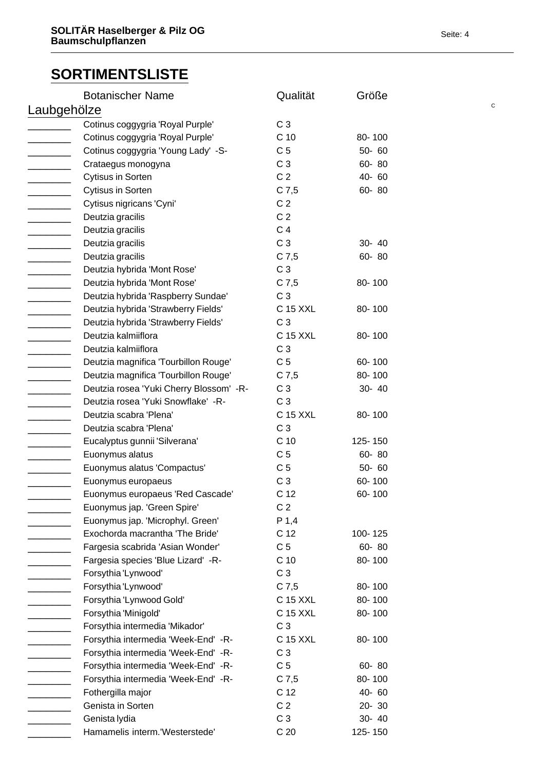| $\mathbf C$<br>Laubgehölze<br>C <sub>3</sub><br>Cotinus coggygria 'Royal Purple'<br>C <sub>10</sub><br>Cotinus coggygria 'Royal Purple'<br>80-100<br>Cotinus coggygria 'Young Lady' -S-<br>C <sub>5</sub><br>50-60<br>$\overline{\phantom{a}}$<br>C <sub>3</sub><br>60-80<br>Crataegus monogyna<br>C <sub>2</sub><br>Cytisus in Sorten<br>40-60<br><u>______________</u><br><b>Cytisus in Sorten</b><br>$C$ 7,5<br>60-80<br>________________<br>Cytisus nigricans 'Cyni'<br>C <sub>2</sub><br><u> 1990 - Jan Jan Jan</u><br>C <sub>2</sub><br>Deutzia gracilis<br>C <sub>4</sub><br>Deutzia gracilis<br>$\overline{\phantom{a}}$ . The contract of $\overline{\phantom{a}}$<br>C <sub>3</sub><br>Deutzia gracilis<br>30- 40<br>Deutzia gracilis<br>$C$ 7,5<br>60-80<br>________________<br>Deutzia hybrida 'Mont Rose'<br>C <sub>3</sub><br>$C$ 7,5<br>Deutzia hybrida 'Mont Rose'<br>80-100<br>C <sub>3</sub><br>Deutzia hybrida 'Raspberry Sundae'<br>Deutzia hybrida 'Strawberry Fields'<br>C 15 XXL<br>80-100<br>C <sub>3</sub><br>Deutzia hybrida 'Strawberry Fields'<br><b>C 15 XXL</b><br>Deutzia kalmiiflora<br>80-100<br>C <sub>3</sub><br>Deutzia kalmiiflora<br>$\overline{\phantom{a}}$<br>C <sub>5</sub><br>Deutzia magnifica 'Tourbillon Rouge'<br>60-100<br>Deutzia magnifica 'Tourbillon Rouge'<br>$C$ 7,5<br>80-100<br>Deutzia rosea 'Yuki Cherry Blossom' -R-<br>C <sub>3</sub><br>30- 40<br>Deutzia rosea 'Yuki Snowflake' -R-<br>C <sub>3</sub><br>C 15 XXL<br>Deutzia scabra 'Plena'<br>80-100<br>C <sub>3</sub><br>Deutzia scabra 'Plena'<br>$\overline{\phantom{a}}$<br>Eucalyptus gunnii 'Silverana'<br>C <sub>10</sub><br>125-150<br>C <sub>5</sub><br>Euonymus alatus<br>60-80<br>C <sub>5</sub><br>$50 - 60$<br>Euonymus alatus 'Compactus'<br>C <sub>3</sub><br>Euonymus europaeus<br>60-100<br>C <sub>12</sub><br>60-100<br>Euonymus europaeus 'Red Cascade'<br>C <sub>2</sub><br>Euonymus jap. 'Green Spire'<br>P 1,4<br>Euonymus jap. 'Microphyl. Green'<br>Exochorda macrantha 'The Bride'<br>C <sub>12</sub><br>100-125<br>Fargesia scabrida 'Asian Wonder'<br>C <sub>5</sub><br>60-80<br>C <sub>10</sub><br>80-100<br>Fargesia species 'Blue Lizard' -R- |
|--------------------------------------------------------------------------------------------------------------------------------------------------------------------------------------------------------------------------------------------------------------------------------------------------------------------------------------------------------------------------------------------------------------------------------------------------------------------------------------------------------------------------------------------------------------------------------------------------------------------------------------------------------------------------------------------------------------------------------------------------------------------------------------------------------------------------------------------------------------------------------------------------------------------------------------------------------------------------------------------------------------------------------------------------------------------------------------------------------------------------------------------------------------------------------------------------------------------------------------------------------------------------------------------------------------------------------------------------------------------------------------------------------------------------------------------------------------------------------------------------------------------------------------------------------------------------------------------------------------------------------------------------------------------------------------------------------------------------------------------------------------------------------------------------------------------------------------------------------------------------------------------------------------------------------------------------------------------------------------------------------------------------------------------------------------------------------------------------------------------------------------------------------------------------------------------|
|                                                                                                                                                                                                                                                                                                                                                                                                                                                                                                                                                                                                                                                                                                                                                                                                                                                                                                                                                                                                                                                                                                                                                                                                                                                                                                                                                                                                                                                                                                                                                                                                                                                                                                                                                                                                                                                                                                                                                                                                                                                                                                                                                                                            |
|                                                                                                                                                                                                                                                                                                                                                                                                                                                                                                                                                                                                                                                                                                                                                                                                                                                                                                                                                                                                                                                                                                                                                                                                                                                                                                                                                                                                                                                                                                                                                                                                                                                                                                                                                                                                                                                                                                                                                                                                                                                                                                                                                                                            |
|                                                                                                                                                                                                                                                                                                                                                                                                                                                                                                                                                                                                                                                                                                                                                                                                                                                                                                                                                                                                                                                                                                                                                                                                                                                                                                                                                                                                                                                                                                                                                                                                                                                                                                                                                                                                                                                                                                                                                                                                                                                                                                                                                                                            |
|                                                                                                                                                                                                                                                                                                                                                                                                                                                                                                                                                                                                                                                                                                                                                                                                                                                                                                                                                                                                                                                                                                                                                                                                                                                                                                                                                                                                                                                                                                                                                                                                                                                                                                                                                                                                                                                                                                                                                                                                                                                                                                                                                                                            |
|                                                                                                                                                                                                                                                                                                                                                                                                                                                                                                                                                                                                                                                                                                                                                                                                                                                                                                                                                                                                                                                                                                                                                                                                                                                                                                                                                                                                                                                                                                                                                                                                                                                                                                                                                                                                                                                                                                                                                                                                                                                                                                                                                                                            |
|                                                                                                                                                                                                                                                                                                                                                                                                                                                                                                                                                                                                                                                                                                                                                                                                                                                                                                                                                                                                                                                                                                                                                                                                                                                                                                                                                                                                                                                                                                                                                                                                                                                                                                                                                                                                                                                                                                                                                                                                                                                                                                                                                                                            |
|                                                                                                                                                                                                                                                                                                                                                                                                                                                                                                                                                                                                                                                                                                                                                                                                                                                                                                                                                                                                                                                                                                                                                                                                                                                                                                                                                                                                                                                                                                                                                                                                                                                                                                                                                                                                                                                                                                                                                                                                                                                                                                                                                                                            |
|                                                                                                                                                                                                                                                                                                                                                                                                                                                                                                                                                                                                                                                                                                                                                                                                                                                                                                                                                                                                                                                                                                                                                                                                                                                                                                                                                                                                                                                                                                                                                                                                                                                                                                                                                                                                                                                                                                                                                                                                                                                                                                                                                                                            |
|                                                                                                                                                                                                                                                                                                                                                                                                                                                                                                                                                                                                                                                                                                                                                                                                                                                                                                                                                                                                                                                                                                                                                                                                                                                                                                                                                                                                                                                                                                                                                                                                                                                                                                                                                                                                                                                                                                                                                                                                                                                                                                                                                                                            |
|                                                                                                                                                                                                                                                                                                                                                                                                                                                                                                                                                                                                                                                                                                                                                                                                                                                                                                                                                                                                                                                                                                                                                                                                                                                                                                                                                                                                                                                                                                                                                                                                                                                                                                                                                                                                                                                                                                                                                                                                                                                                                                                                                                                            |
|                                                                                                                                                                                                                                                                                                                                                                                                                                                                                                                                                                                                                                                                                                                                                                                                                                                                                                                                                                                                                                                                                                                                                                                                                                                                                                                                                                                                                                                                                                                                                                                                                                                                                                                                                                                                                                                                                                                                                                                                                                                                                                                                                                                            |
|                                                                                                                                                                                                                                                                                                                                                                                                                                                                                                                                                                                                                                                                                                                                                                                                                                                                                                                                                                                                                                                                                                                                                                                                                                                                                                                                                                                                                                                                                                                                                                                                                                                                                                                                                                                                                                                                                                                                                                                                                                                                                                                                                                                            |
|                                                                                                                                                                                                                                                                                                                                                                                                                                                                                                                                                                                                                                                                                                                                                                                                                                                                                                                                                                                                                                                                                                                                                                                                                                                                                                                                                                                                                                                                                                                                                                                                                                                                                                                                                                                                                                                                                                                                                                                                                                                                                                                                                                                            |
|                                                                                                                                                                                                                                                                                                                                                                                                                                                                                                                                                                                                                                                                                                                                                                                                                                                                                                                                                                                                                                                                                                                                                                                                                                                                                                                                                                                                                                                                                                                                                                                                                                                                                                                                                                                                                                                                                                                                                                                                                                                                                                                                                                                            |
|                                                                                                                                                                                                                                                                                                                                                                                                                                                                                                                                                                                                                                                                                                                                                                                                                                                                                                                                                                                                                                                                                                                                                                                                                                                                                                                                                                                                                                                                                                                                                                                                                                                                                                                                                                                                                                                                                                                                                                                                                                                                                                                                                                                            |
|                                                                                                                                                                                                                                                                                                                                                                                                                                                                                                                                                                                                                                                                                                                                                                                                                                                                                                                                                                                                                                                                                                                                                                                                                                                                                                                                                                                                                                                                                                                                                                                                                                                                                                                                                                                                                                                                                                                                                                                                                                                                                                                                                                                            |
|                                                                                                                                                                                                                                                                                                                                                                                                                                                                                                                                                                                                                                                                                                                                                                                                                                                                                                                                                                                                                                                                                                                                                                                                                                                                                                                                                                                                                                                                                                                                                                                                                                                                                                                                                                                                                                                                                                                                                                                                                                                                                                                                                                                            |
|                                                                                                                                                                                                                                                                                                                                                                                                                                                                                                                                                                                                                                                                                                                                                                                                                                                                                                                                                                                                                                                                                                                                                                                                                                                                                                                                                                                                                                                                                                                                                                                                                                                                                                                                                                                                                                                                                                                                                                                                                                                                                                                                                                                            |
|                                                                                                                                                                                                                                                                                                                                                                                                                                                                                                                                                                                                                                                                                                                                                                                                                                                                                                                                                                                                                                                                                                                                                                                                                                                                                                                                                                                                                                                                                                                                                                                                                                                                                                                                                                                                                                                                                                                                                                                                                                                                                                                                                                                            |
|                                                                                                                                                                                                                                                                                                                                                                                                                                                                                                                                                                                                                                                                                                                                                                                                                                                                                                                                                                                                                                                                                                                                                                                                                                                                                                                                                                                                                                                                                                                                                                                                                                                                                                                                                                                                                                                                                                                                                                                                                                                                                                                                                                                            |
|                                                                                                                                                                                                                                                                                                                                                                                                                                                                                                                                                                                                                                                                                                                                                                                                                                                                                                                                                                                                                                                                                                                                                                                                                                                                                                                                                                                                                                                                                                                                                                                                                                                                                                                                                                                                                                                                                                                                                                                                                                                                                                                                                                                            |
|                                                                                                                                                                                                                                                                                                                                                                                                                                                                                                                                                                                                                                                                                                                                                                                                                                                                                                                                                                                                                                                                                                                                                                                                                                                                                                                                                                                                                                                                                                                                                                                                                                                                                                                                                                                                                                                                                                                                                                                                                                                                                                                                                                                            |
|                                                                                                                                                                                                                                                                                                                                                                                                                                                                                                                                                                                                                                                                                                                                                                                                                                                                                                                                                                                                                                                                                                                                                                                                                                                                                                                                                                                                                                                                                                                                                                                                                                                                                                                                                                                                                                                                                                                                                                                                                                                                                                                                                                                            |
|                                                                                                                                                                                                                                                                                                                                                                                                                                                                                                                                                                                                                                                                                                                                                                                                                                                                                                                                                                                                                                                                                                                                                                                                                                                                                                                                                                                                                                                                                                                                                                                                                                                                                                                                                                                                                                                                                                                                                                                                                                                                                                                                                                                            |
|                                                                                                                                                                                                                                                                                                                                                                                                                                                                                                                                                                                                                                                                                                                                                                                                                                                                                                                                                                                                                                                                                                                                                                                                                                                                                                                                                                                                                                                                                                                                                                                                                                                                                                                                                                                                                                                                                                                                                                                                                                                                                                                                                                                            |
|                                                                                                                                                                                                                                                                                                                                                                                                                                                                                                                                                                                                                                                                                                                                                                                                                                                                                                                                                                                                                                                                                                                                                                                                                                                                                                                                                                                                                                                                                                                                                                                                                                                                                                                                                                                                                                                                                                                                                                                                                                                                                                                                                                                            |
|                                                                                                                                                                                                                                                                                                                                                                                                                                                                                                                                                                                                                                                                                                                                                                                                                                                                                                                                                                                                                                                                                                                                                                                                                                                                                                                                                                                                                                                                                                                                                                                                                                                                                                                                                                                                                                                                                                                                                                                                                                                                                                                                                                                            |
|                                                                                                                                                                                                                                                                                                                                                                                                                                                                                                                                                                                                                                                                                                                                                                                                                                                                                                                                                                                                                                                                                                                                                                                                                                                                                                                                                                                                                                                                                                                                                                                                                                                                                                                                                                                                                                                                                                                                                                                                                                                                                                                                                                                            |
|                                                                                                                                                                                                                                                                                                                                                                                                                                                                                                                                                                                                                                                                                                                                                                                                                                                                                                                                                                                                                                                                                                                                                                                                                                                                                                                                                                                                                                                                                                                                                                                                                                                                                                                                                                                                                                                                                                                                                                                                                                                                                                                                                                                            |
|                                                                                                                                                                                                                                                                                                                                                                                                                                                                                                                                                                                                                                                                                                                                                                                                                                                                                                                                                                                                                                                                                                                                                                                                                                                                                                                                                                                                                                                                                                                                                                                                                                                                                                                                                                                                                                                                                                                                                                                                                                                                                                                                                                                            |
|                                                                                                                                                                                                                                                                                                                                                                                                                                                                                                                                                                                                                                                                                                                                                                                                                                                                                                                                                                                                                                                                                                                                                                                                                                                                                                                                                                                                                                                                                                                                                                                                                                                                                                                                                                                                                                                                                                                                                                                                                                                                                                                                                                                            |
|                                                                                                                                                                                                                                                                                                                                                                                                                                                                                                                                                                                                                                                                                                                                                                                                                                                                                                                                                                                                                                                                                                                                                                                                                                                                                                                                                                                                                                                                                                                                                                                                                                                                                                                                                                                                                                                                                                                                                                                                                                                                                                                                                                                            |
|                                                                                                                                                                                                                                                                                                                                                                                                                                                                                                                                                                                                                                                                                                                                                                                                                                                                                                                                                                                                                                                                                                                                                                                                                                                                                                                                                                                                                                                                                                                                                                                                                                                                                                                                                                                                                                                                                                                                                                                                                                                                                                                                                                                            |
|                                                                                                                                                                                                                                                                                                                                                                                                                                                                                                                                                                                                                                                                                                                                                                                                                                                                                                                                                                                                                                                                                                                                                                                                                                                                                                                                                                                                                                                                                                                                                                                                                                                                                                                                                                                                                                                                                                                                                                                                                                                                                                                                                                                            |
|                                                                                                                                                                                                                                                                                                                                                                                                                                                                                                                                                                                                                                                                                                                                                                                                                                                                                                                                                                                                                                                                                                                                                                                                                                                                                                                                                                                                                                                                                                                                                                                                                                                                                                                                                                                                                                                                                                                                                                                                                                                                                                                                                                                            |
| C <sub>3</sub><br>Forsythia 'Lynwood'                                                                                                                                                                                                                                                                                                                                                                                                                                                                                                                                                                                                                                                                                                                                                                                                                                                                                                                                                                                                                                                                                                                                                                                                                                                                                                                                                                                                                                                                                                                                                                                                                                                                                                                                                                                                                                                                                                                                                                                                                                                                                                                                                      |
| Forsythia 'Lynwood'<br>$C$ 7,5<br>80-100                                                                                                                                                                                                                                                                                                                                                                                                                                                                                                                                                                                                                                                                                                                                                                                                                                                                                                                                                                                                                                                                                                                                                                                                                                                                                                                                                                                                                                                                                                                                                                                                                                                                                                                                                                                                                                                                                                                                                                                                                                                                                                                                                   |
| Forsythia 'Lynwood Gold'<br>C 15 XXL<br>80-100                                                                                                                                                                                                                                                                                                                                                                                                                                                                                                                                                                                                                                                                                                                                                                                                                                                                                                                                                                                                                                                                                                                                                                                                                                                                                                                                                                                                                                                                                                                                                                                                                                                                                                                                                                                                                                                                                                                                                                                                                                                                                                                                             |
| Forsythia 'Minigold'<br>C 15 XXL<br>80-100                                                                                                                                                                                                                                                                                                                                                                                                                                                                                                                                                                                                                                                                                                                                                                                                                                                                                                                                                                                                                                                                                                                                                                                                                                                                                                                                                                                                                                                                                                                                                                                                                                                                                                                                                                                                                                                                                                                                                                                                                                                                                                                                                 |
| C <sub>3</sub><br>Forsythia intermedia 'Mikador'                                                                                                                                                                                                                                                                                                                                                                                                                                                                                                                                                                                                                                                                                                                                                                                                                                                                                                                                                                                                                                                                                                                                                                                                                                                                                                                                                                                                                                                                                                                                                                                                                                                                                                                                                                                                                                                                                                                                                                                                                                                                                                                                           |
| Forsythia intermedia 'Week-End' -R-<br>C 15 XXL<br>80-100                                                                                                                                                                                                                                                                                                                                                                                                                                                                                                                                                                                                                                                                                                                                                                                                                                                                                                                                                                                                                                                                                                                                                                                                                                                                                                                                                                                                                                                                                                                                                                                                                                                                                                                                                                                                                                                                                                                                                                                                                                                                                                                                  |
| C <sub>3</sub><br>Forsythia intermedia 'Week-End' -R-                                                                                                                                                                                                                                                                                                                                                                                                                                                                                                                                                                                                                                                                                                                                                                                                                                                                                                                                                                                                                                                                                                                                                                                                                                                                                                                                                                                                                                                                                                                                                                                                                                                                                                                                                                                                                                                                                                                                                                                                                                                                                                                                      |
| Forsythia intermedia 'Week-End' -R-<br>C <sub>5</sub><br>60-80                                                                                                                                                                                                                                                                                                                                                                                                                                                                                                                                                                                                                                                                                                                                                                                                                                                                                                                                                                                                                                                                                                                                                                                                                                                                                                                                                                                                                                                                                                                                                                                                                                                                                                                                                                                                                                                                                                                                                                                                                                                                                                                             |
| $C$ 7,5<br>Forsythia intermedia 'Week-End' -R-<br>80-100                                                                                                                                                                                                                                                                                                                                                                                                                                                                                                                                                                                                                                                                                                                                                                                                                                                                                                                                                                                                                                                                                                                                                                                                                                                                                                                                                                                                                                                                                                                                                                                                                                                                                                                                                                                                                                                                                                                                                                                                                                                                                                                                   |
| C <sub>12</sub><br>Fothergilla major<br>40-60                                                                                                                                                                                                                                                                                                                                                                                                                                                                                                                                                                                                                                                                                                                                                                                                                                                                                                                                                                                                                                                                                                                                                                                                                                                                                                                                                                                                                                                                                                                                                                                                                                                                                                                                                                                                                                                                                                                                                                                                                                                                                                                                              |
| C <sub>2</sub><br>Genista in Sorten<br>$20 - 30$                                                                                                                                                                                                                                                                                                                                                                                                                                                                                                                                                                                                                                                                                                                                                                                                                                                                                                                                                                                                                                                                                                                                                                                                                                                                                                                                                                                                                                                                                                                                                                                                                                                                                                                                                                                                                                                                                                                                                                                                                                                                                                                                           |
| C <sub>3</sub><br>30- 40<br>Genista lydia                                                                                                                                                                                                                                                                                                                                                                                                                                                                                                                                                                                                                                                                                                                                                                                                                                                                                                                                                                                                                                                                                                                                                                                                                                                                                                                                                                                                                                                                                                                                                                                                                                                                                                                                                                                                                                                                                                                                                                                                                                                                                                                                                  |
| C <sub>20</sub><br>Hamamelis interm.'Westerstede'<br>125-150                                                                                                                                                                                                                                                                                                                                                                                                                                                                                                                                                                                                                                                                                                                                                                                                                                                                                                                                                                                                                                                                                                                                                                                                                                                                                                                                                                                                                                                                                                                                                                                                                                                                                                                                                                                                                                                                                                                                                                                                                                                                                                                               |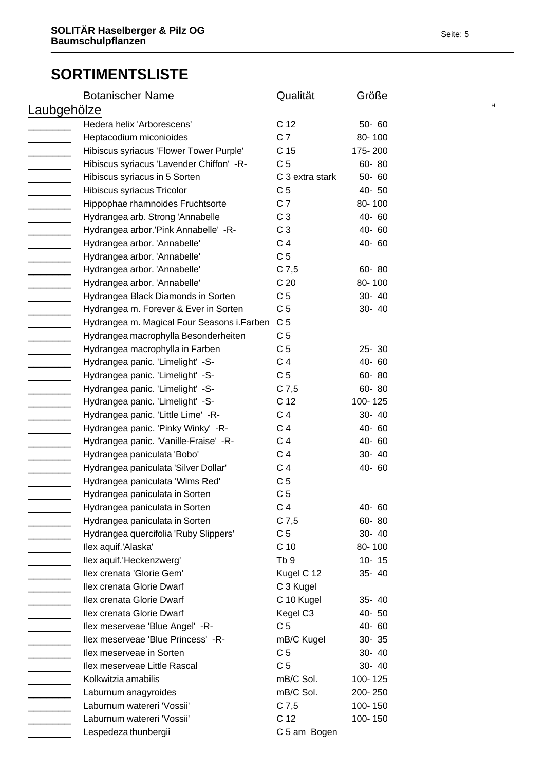|                          | <b>Botanischer Name</b>                     | Qualität        | Größe     |   |
|--------------------------|---------------------------------------------|-----------------|-----------|---|
| Laubgehölze              |                                             |                 |           | Н |
|                          | Hedera helix 'Arborescens'                  | C 12            | $50 - 60$ |   |
|                          | Heptacodium miconioides                     | C <sub>7</sub>  | 80-100    |   |
|                          | Hibiscus syriacus 'Flower Tower Purple'     | C <sub>15</sub> | 175-200   |   |
|                          | Hibiscus syriacus 'Lavender Chiffon' -R-    | C <sub>5</sub>  | 60-80     |   |
|                          | Hibiscus syriacus in 5 Sorten               | C 3 extra stark | 50-60     |   |
|                          | Hibiscus syriacus Tricolor                  | C <sub>5</sub>  | 40-50     |   |
|                          | Hippophae rhamnoides Fruchtsorte            | C <sub>7</sub>  | 80-100    |   |
| ________                 | Hydrangea arb. Strong 'Annabelle            | C <sub>3</sub>  | 40-60     |   |
|                          | Hydrangea arbor.'Pink Annabelle' -R-        | C <sub>3</sub>  | 40-60     |   |
|                          | Hydrangea arbor. 'Annabelle'                | C <sub>4</sub>  | 40-60     |   |
|                          | Hydrangea arbor. 'Annabelle'                | C <sub>5</sub>  |           |   |
|                          | Hydrangea arbor. 'Annabelle'                | $C$ 7,5         | 60-80     |   |
| _______                  | Hydrangea arbor. 'Annabelle'                | C <sub>20</sub> | 80-100    |   |
|                          | Hydrangea Black Diamonds in Sorten          | C <sub>5</sub>  | 30- 40    |   |
|                          | Hydrangea m. Forever & Ever in Sorten       | C <sub>5</sub>  | 30- 40    |   |
|                          | Hydrangea m. Magical Four Seasons i. Farben | C <sub>5</sub>  |           |   |
|                          | Hydrangea macrophylla Besonderheiten        | C <sub>5</sub>  |           |   |
|                          | Hydrangea macrophylla in Farben             | C <sub>5</sub>  | $25 - 30$ |   |
|                          | Hydrangea panic. 'Limelight' -S-            | C <sub>4</sub>  | 40-60     |   |
|                          | Hydrangea panic. 'Limelight' -S-            | C <sub>5</sub>  | 60-80     |   |
|                          | Hydrangea panic. 'Limelight' -S-            | $C$ 7,5         | 60-80     |   |
|                          | Hydrangea panic. 'Limelight' -S-            | C 12            | 100-125   |   |
| $\overline{\phantom{a}}$ | Hydrangea panic. 'Little Lime' -R-          | C <sub>4</sub>  | 30- 40    |   |
|                          | Hydrangea panic. 'Pinky Winky' -R-          | C <sub>4</sub>  | 40-60     |   |
|                          | Hydrangea panic. 'Vanille-Fraise' -R-       | C <sub>4</sub>  | 40-60     |   |
|                          | Hydrangea paniculata 'Bobo'                 | C <sub>4</sub>  | 30- 40    |   |
|                          | Hydrangea paniculata 'Silver Dollar'        | C <sub>4</sub>  | 40-60     |   |
|                          | Hydrangea paniculata 'Wims Red'             | C <sub>5</sub>  |           |   |
|                          | Hydrangea paniculata in Sorten              | C <sub>5</sub>  |           |   |
|                          | Hydrangea paniculata in Sorten              | C <sub>4</sub>  | 40-60     |   |
|                          | Hydrangea paniculata in Sorten              | $C$ 7,5         | 60-80     |   |
|                          | Hydrangea quercifolia 'Ruby Slippers'       | C <sub>5</sub>  | 30- 40    |   |
|                          | Ilex aquif.'Alaska'                         | C <sub>10</sub> | 80-100    |   |
|                          | llex aquif.'Heckenzwerg'                    | Tb <sub>9</sub> | $10 - 15$ |   |
|                          | Ilex crenata 'Glorie Gem'                   | Kugel C 12      | 35-40     |   |
|                          | Ilex crenata Glorie Dwarf                   | C 3 Kugel       |           |   |
|                          | Ilex crenata Glorie Dwarf                   | C 10 Kugel      | 35-40     |   |
|                          | Ilex crenata Glorie Dwarf                   | Kegel C3        | 40- 50    |   |
|                          | Ilex meserveae 'Blue Angel' -R-             | C <sub>5</sub>  | 40-60     |   |
|                          | Ilex meserveae 'Blue Princess' -R-          | mB/C Kugel      | $30 - 35$ |   |
|                          | Ilex meserveae in Sorten                    | C <sub>5</sub>  | 30- 40    |   |
|                          | Ilex meserveae Little Rascal                | C <sub>5</sub>  | 30- 40    |   |
|                          | Kolkwitzia amabilis                         | mB/C Sol.       | 100-125   |   |
|                          | Laburnum anagyroides                        | mB/C Sol.       | 200-250   |   |
|                          | Laburnum watereri 'Vossii'                  | $C$ 7,5         | 100-150   |   |
|                          | Laburnum watereri 'Vossii'                  | C <sub>12</sub> | 100-150   |   |
|                          | Lespedeza thunbergii                        | C 5 am Bogen    |           |   |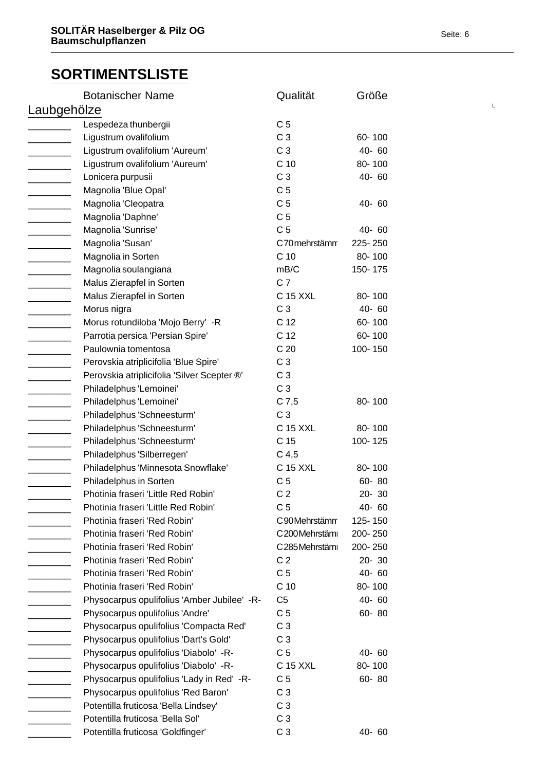|                            | <b>Botanischer Name</b>                     | Qualität         | Größe     |  |
|----------------------------|---------------------------------------------|------------------|-----------|--|
| Laubgehölze                |                                             |                  | L         |  |
|                            | Lespedeza thunbergii                        | C <sub>5</sub>   |           |  |
|                            | Ligustrum ovalifolium                       | C <sub>3</sub>   | 60-100    |  |
|                            | Ligustrum ovalifolium 'Aureum'              | C <sub>3</sub>   | 40-60     |  |
|                            | Ligustrum ovalifolium 'Aureum'              | C <sub>10</sub>  | 80-100    |  |
|                            | Lonicera purpusii                           | C <sub>3</sub>   | 40-60     |  |
|                            | Magnolia 'Blue Opal'                        | C <sub>5</sub>   |           |  |
|                            | Magnolia 'Cleopatra                         | C <sub>5</sub>   | 40-60     |  |
| $\overline{\phantom{a}}$   | Magnolia 'Daphne'                           | C <sub>5</sub>   |           |  |
|                            | Magnolia 'Sunrise'                          | C <sub>5</sub>   | 40-60     |  |
|                            | Magnolia 'Susan'                            | C70 mehrstämm    | 225-250   |  |
|                            | Magnolia in Sorten                          | C <sub>10</sub>  | 80-100    |  |
|                            | Magnolia soulangiana                        | mB/C             | 150-175   |  |
|                            | Malus Zierapfel in Sorten                   | C <sub>7</sub>   |           |  |
|                            | Malus Zierapfel in Sorten                   | C 15 XXL         | 80-100    |  |
|                            | Morus nigra                                 | C <sub>3</sub>   | 40-60     |  |
|                            | Morus rotundiloba 'Mojo Berry' -R           | C <sub>12</sub>  | 60-100    |  |
|                            | Parrotia persica 'Persian Spire'            | C <sub>12</sub>  | 60-100    |  |
|                            | Paulownia tomentosa                         | C <sub>20</sub>  | 100-150   |  |
|                            | Perovskia atriplicifolia 'Blue Spire'       | C <sub>3</sub>   |           |  |
|                            | Perovskia atriplicifolia 'Silver Scepter ®' | C <sub>3</sub>   |           |  |
|                            | Philadelphus 'Lemoinei'                     | C <sub>3</sub>   |           |  |
|                            | Philadelphus 'Lemoinei'                     | $C$ 7,5          | 80-100    |  |
|                            | Philadelphus 'Schneesturm'                  | C <sub>3</sub>   |           |  |
|                            | Philadelphus 'Schneesturm'                  | C 15 XXL         | 80-100    |  |
|                            | Philadelphus 'Schneesturm'                  | C <sub>15</sub>  | 100-125   |  |
|                            | Philadelphus 'Silberregen'                  | C <sub>4,5</sub> |           |  |
|                            | Philadelphus 'Minnesota Snowflake'          | C 15 XXL         | 80-100    |  |
|                            | Philadelphus in Sorten                      | C <sub>5</sub>   | 60-80     |  |
|                            | Photinia fraseri 'Little Red Robin'         | C <sub>2</sub>   | $20 - 30$ |  |
|                            | Photinia fraseri 'Little Red Robin'         | C <sub>5</sub>   | 40-60     |  |
|                            | Photinia fraseri 'Red Robin'                | C90Mehrstämm     | 125-150   |  |
|                            | Photinia fraseri 'Red Robin'                | C200Mehrstämi    | 200-250   |  |
|                            | Photinia fraseri 'Red Robin'                | C285Mehrstämi    | 200-250   |  |
|                            | Photinia fraseri 'Red Robin'                | C <sub>2</sub>   | $20 - 30$ |  |
|                            | Photinia fraseri 'Red Robin'                | C <sub>5</sub>   | 40-60     |  |
|                            | Photinia fraseri 'Red Robin'                | C <sub>10</sub>  | 80-100    |  |
|                            | Physocarpus opulifolius 'Amber Jubilee' -R- | C <sub>5</sub>   | 40-60     |  |
| <u> Liberatura de la p</u> | Physocarpus opulifolius 'Andre'             | C <sub>5</sub>   | 60-80     |  |
|                            | Physocarpus opulifolius 'Compacta Red'      | C <sub>3</sub>   |           |  |
|                            | Physocarpus opulifolius 'Dart's Gold'       | C <sub>3</sub>   |           |  |
|                            | Physocarpus opulifolius 'Diabolo' -R-       | C <sub>5</sub>   | 40-60     |  |
|                            | Physocarpus opulifolius 'Diabolo' -R-       | C 15 XXL         | 80-100    |  |
|                            | Physocarpus opulifolius 'Lady in Red' -R-   | C <sub>5</sub>   | 60-80     |  |
|                            | Physocarpus opulifolius 'Red Baron'         | C <sub>3</sub>   |           |  |
|                            | Potentilla fruticosa 'Bella Lindsey'        | C <sub>3</sub>   |           |  |
|                            | Potentilla fruticosa 'Bella Sol'            | C <sub>3</sub>   |           |  |
|                            | Potentilla fruticosa 'Goldfinger'           | C <sub>3</sub>   | 40-60     |  |
|                            |                                             |                  |           |  |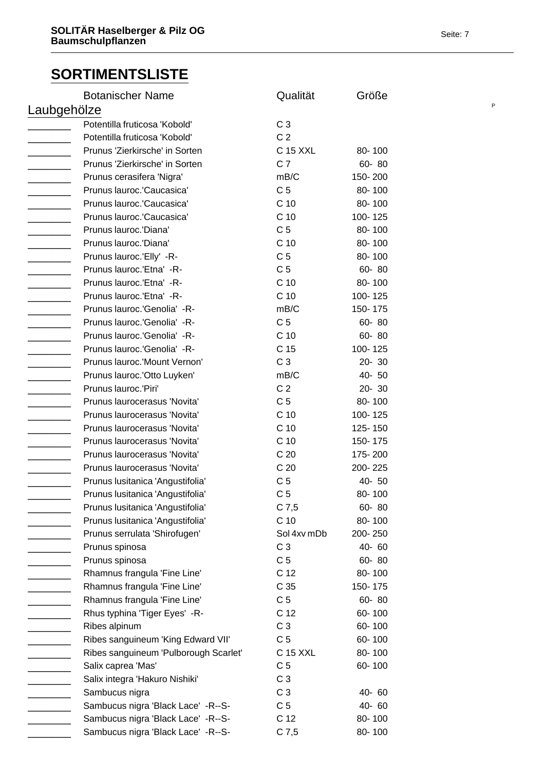| <b>Botanischer Name</b>               | Qualität        | Größe   |  |
|---------------------------------------|-----------------|---------|--|
| Laubgehölze                           |                 |         |  |
| Potentilla fruticosa 'Kobold'         | C <sub>3</sub>  |         |  |
| Potentilla fruticosa 'Kobold'         | C <sub>2</sub>  |         |  |
| Prunus 'Zierkirsche' in Sorten        | C 15 XXL        | 80-100  |  |
| Prunus 'Zierkirsche' in Sorten        | C <sub>7</sub>  | 60-80   |  |
| Prunus cerasifera 'Nigra'             | mB/C            | 150-200 |  |
| Prunus lauroc.'Caucasica'             | C <sub>5</sub>  | 80-100  |  |
| Prunus lauroc.'Caucasica'             | C <sub>10</sub> | 80-100  |  |
| Prunus lauroc.'Caucasica'             | C 10            | 100-125 |  |
| Prunus lauroc.'Diana'                 | C <sub>5</sub>  | 80-100  |  |
| Prunus lauroc.'Diana'                 | C <sub>10</sub> | 80-100  |  |
| Prunus lauroc.'Elly' -R-              | C <sub>5</sub>  | 80-100  |  |
| Prunus lauroc.'Etna' -R-              | C <sub>5</sub>  | 60-80   |  |
| Prunus lauroc.'Etna' -R-              | C 10            | 80-100  |  |
| Prunus lauroc.'Etna' -R-              | C <sub>10</sub> | 100-125 |  |
| Prunus lauroc.'Genolia' -R-           | mB/C            | 150-175 |  |
| Prunus lauroc.'Genolia' -R-           | C <sub>5</sub>  | 60-80   |  |
| Prunus lauroc.'Genolia' -R-           | C <sub>10</sub> | 60-80   |  |
| Prunus lauroc.'Genolia' -R-           | C 15            | 100-125 |  |
| Prunus lauroc.'Mount Vernon'          | C <sub>3</sub>  | 20-30   |  |
| Prunus lauroc.'Otto Luyken'           | mB/C            | 40-50   |  |
| Prunus lauroc.'Piri'                  | C <sub>2</sub>  | 20-30   |  |
| Prunus laurocerasus 'Novita'          | C <sub>5</sub>  | 80-100  |  |
| Prunus laurocerasus 'Novita'          | C 10            | 100-125 |  |
| Prunus laurocerasus 'Novita'          | C <sub>10</sub> | 125-150 |  |
| Prunus laurocerasus 'Novita'          | C 10            | 150-175 |  |
| Prunus laurocerasus 'Novita'          | C <sub>20</sub> | 175-200 |  |
| Prunus laurocerasus 'Novita'          | C <sub>20</sub> | 200-225 |  |
| Prunus Iusitanica 'Angustifolia'      | C <sub>5</sub>  | 40- 50  |  |
| Prunus Iusitanica 'Angustifolia'      | C <sub>5</sub>  | 80-100  |  |
| Prunus Iusitanica 'Angustifolia'      | $C$ 7,5         | 60-80   |  |
| Prunus lusitanica 'Angustifolia'      | C 10            | 80-100  |  |
| Prunus serrulata 'Shirofugen'         | Sol 4xv mDb     | 200-250 |  |
| Prunus spinosa                        | C <sub>3</sub>  | 40-60   |  |
| Prunus spinosa                        | C <sub>5</sub>  | 60-80   |  |
| Rhamnus frangula 'Fine Line'          | C 12            | 80-100  |  |
| Rhamnus frangula 'Fine Line'          | C <sub>35</sub> | 150-175 |  |
| Rhamnus frangula 'Fine Line'          | C <sub>5</sub>  | 60-80   |  |
| Rhus typhina 'Tiger Eyes' -R-         | C 12            | 60-100  |  |
| Ribes alpinum                         | C <sub>3</sub>  | 60-100  |  |
| Ribes sanguineum 'King Edward VII'    | C <sub>5</sub>  | 60-100  |  |
| Ribes sanguineum 'Pulborough Scarlet' | C 15 XXL        | 80-100  |  |
| Salix caprea 'Mas'                    | C <sub>5</sub>  | 60-100  |  |
| Salix integra 'Hakuro Nishiki'        | C <sub>3</sub>  |         |  |
| Sambucus nigra                        | C <sub>3</sub>  | 40-60   |  |
| Sambucus nigra 'Black Lace' -R--S-    | C <sub>5</sub>  | 40-60   |  |
| Sambucus nigra 'Black Lace' - R--S-   | C <sub>12</sub> | 80-100  |  |
| Sambucus nigra 'Black Lace' - R--S-   | $C$ 7,5         | 80-100  |  |
|                                       |                 |         |  |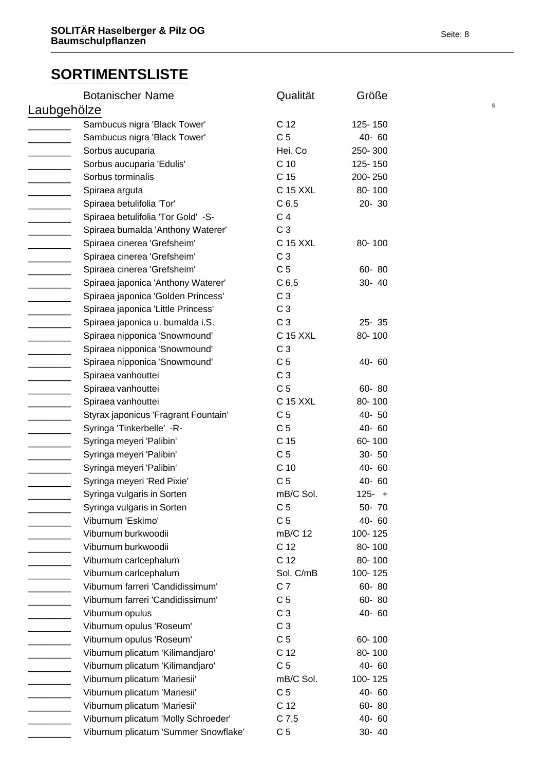|             | <b>Botanischer Name</b>              | Qualität         | Größe     |  |
|-------------|--------------------------------------|------------------|-----------|--|
| Laubgehölze |                                      |                  |           |  |
|             | Sambucus nigra 'Black Tower'         | C 12             | 125-150   |  |
|             | Sambucus nigra 'Black Tower'         | C <sub>5</sub>   | 40-60     |  |
|             | Sorbus aucuparia                     | Hei. Co          | 250-300   |  |
|             | Sorbus aucuparia 'Edulis'            | C <sub>10</sub>  | 125-150   |  |
|             | Sorbus torminalis                    | C 15             | 200-250   |  |
|             | Spiraea arguta                       | C 15 XXL         | 80-100    |  |
|             | Spiraea betulifolia 'Tor'            | C <sub>6,5</sub> | 20-30     |  |
|             | Spiraea betulifolia 'Tor Gold' -S-   | C <sub>4</sub>   |           |  |
|             | Spiraea bumalda 'Anthony Waterer'    | C <sub>3</sub>   |           |  |
|             | Spiraea cinerea 'Grefsheim'          | C 15 XXL         | 80-100    |  |
|             | Spiraea cinerea 'Grefsheim'          | C <sub>3</sub>   |           |  |
|             | Spiraea cinerea 'Grefsheim'          | C <sub>5</sub>   | 60-80     |  |
|             | Spiraea japonica 'Anthony Waterer'   | C <sub>6,5</sub> | 30-40     |  |
|             | Spiraea japonica 'Golden Princess'   | C <sub>3</sub>   |           |  |
|             | Spiraea japonica 'Little Princess'   | C <sub>3</sub>   |           |  |
|             | Spiraea japonica u. bumalda i.S.     | C <sub>3</sub>   | $25 - 35$ |  |
|             | Spiraea nipponica 'Snowmound'        | C 15 XXL         | 80-100    |  |
|             | Spiraea nipponica 'Snowmound'        | C <sub>3</sub>   |           |  |
|             | Spiraea nipponica 'Snowmound'        | C <sub>5</sub>   | 40-60     |  |
|             | Spiraea vanhouttei                   | C <sub>3</sub>   |           |  |
|             | Spiraea vanhouttei                   | C <sub>5</sub>   | 60-80     |  |
|             | Spiraea vanhouttei                   | C 15 XXL         | 80-100    |  |
|             | Styrax japonicus 'Fragrant Fountain' | C <sub>5</sub>   | 40-50     |  |
|             | Syringa 'Tinkerbelle' -R-            | C <sub>5</sub>   | 40-60     |  |
|             | Syringa meyeri 'Palibin'             | C 15             | 60-100    |  |
|             |                                      | C <sub>5</sub>   | $30 - 50$ |  |
|             | Syringa meyeri 'Palibin'             | C <sub>10</sub>  | 40-60     |  |
|             | Syringa meyeri 'Palibin'             | C <sub>5</sub>   | 40-60     |  |
|             | Syringa meyeri 'Red Pixie'           |                  | $125 - +$ |  |
|             | Syringa vulgaris in Sorten           | mB/C Sol.        |           |  |
|             | Syringa vulgaris in Sorten           | C <sub>5</sub>   | 50-70     |  |
|             | Viburnum 'Eskimo'                    | C <sub>5</sub>   | 40-60     |  |
|             | Viburnum burkwoodii                  | mB/C 12          | 100-125   |  |
|             | Viburnum burkwoodii                  | C 12             | 80-100    |  |
|             | Viburnum carlcephalum                | C 12             | 80-100    |  |
|             | Viburnum carlcephalum                | Sol. C/mB        | 100-125   |  |
|             | Viburnum farreri 'Candidissimum'     | C <sub>7</sub>   | 60-80     |  |
|             | Viburnum farreri 'Candidissimum'     | C <sub>5</sub>   | 60-80     |  |
|             | Viburnum opulus                      | C <sub>3</sub>   | 40-60     |  |
|             | Viburnum opulus 'Roseum'             | C <sub>3</sub>   |           |  |
|             | Viburnum opulus 'Roseum'             | C <sub>5</sub>   | 60-100    |  |
|             | Viburnum plicatum 'Kilimandjaro'     | C 12             | 80-100    |  |
|             | Viburnum plicatum 'Kilimandjaro'     | C <sub>5</sub>   | 40-60     |  |
|             | Viburnum plicatum 'Mariesii'         | mB/C Sol.        | 100-125   |  |
|             | Viburnum plicatum 'Mariesii'         | C <sub>5</sub>   | 40-60     |  |
|             | Viburnum plicatum 'Mariesii'         | C 12             | 60-80     |  |
|             | Viburnum plicatum 'Molly Schroeder'  | $C$ 7,5          | 40-60     |  |
|             | Viburnum plicatum 'Summer Snowflake' | C <sub>5</sub>   | 30- 40    |  |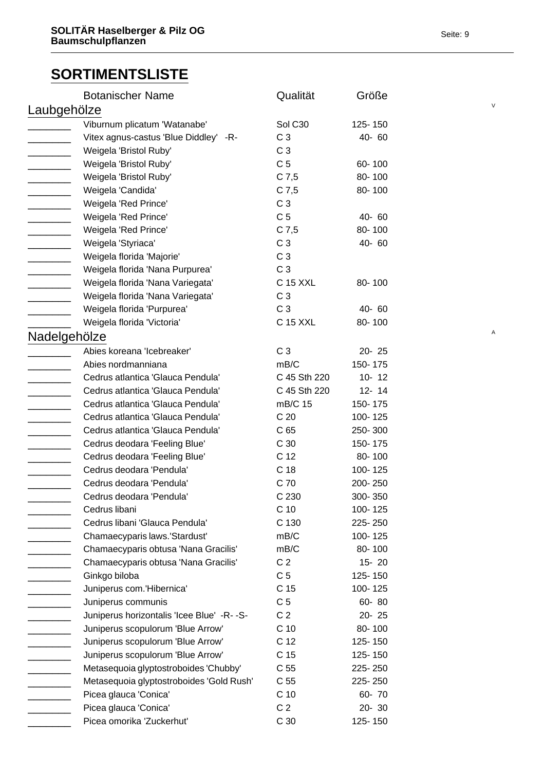|                          | <b>Botanischer Name</b>                    | Qualität        | Größe     |  |
|--------------------------|--------------------------------------------|-----------------|-----------|--|
|                          | Laubgehölze                                |                 |           |  |
|                          | Viburnum plicatum 'Watanabe'               | Sol C30         | 125-150   |  |
|                          | Vitex agnus-castus 'Blue Diddley' -R-      | C <sub>3</sub>  | 40-60     |  |
|                          | Weigela 'Bristol Ruby'                     | C <sub>3</sub>  |           |  |
|                          | Weigela 'Bristol Ruby'                     | C <sub>5</sub>  | 60-100    |  |
|                          | Weigela 'Bristol Ruby'                     | $C$ 7,5         | 80-100    |  |
|                          | Weigela 'Candida'                          | $C$ 7,5         | 80-100    |  |
|                          | Weigela 'Red Prince'                       | C <sub>3</sub>  |           |  |
| $\overline{\phantom{a}}$ | Weigela 'Red Prince'                       | C <sub>5</sub>  | 40-60     |  |
|                          | Weigela 'Red Prince'                       | $C$ 7,5         | 80-100    |  |
|                          | Weigela 'Styriaca'                         | C <sub>3</sub>  | 40-60     |  |
|                          | Weigela florida 'Majorie'                  | C <sub>3</sub>  |           |  |
|                          | Weigela florida 'Nana Purpurea'            | C <sub>3</sub>  |           |  |
|                          | Weigela florida 'Nana Variegata'           | C 15 XXL        | 80-100    |  |
|                          | Weigela florida 'Nana Variegata'           | C <sub>3</sub>  |           |  |
|                          | Weigela florida 'Purpurea'                 | C <sub>3</sub>  | $40 - 60$ |  |
|                          | Weigela florida 'Victoria'                 | C 15 XXL        | 80-100    |  |
|                          | Nadelgehölze                               |                 |           |  |
|                          | Abies koreana 'Icebreaker'                 | C <sub>3</sub>  | 20-25     |  |
|                          | Abies nordmanniana                         | mB/C            | 150-175   |  |
|                          | Cedrus atlantica 'Glauca Pendula'          | C 45 Sth 220    | $10 - 12$ |  |
|                          | Cedrus atlantica 'Glauca Pendula'          | C 45 Sth 220    | $12 - 14$ |  |
|                          | Cedrus atlantica 'Glauca Pendula'          | mB/C 15         | 150-175   |  |
|                          | Cedrus atlantica 'Glauca Pendula'          | C <sub>20</sub> | 100-125   |  |
|                          | Cedrus atlantica 'Glauca Pendula'          |                 |           |  |
|                          |                                            | C <sub>65</sub> | 250-300   |  |
|                          | Cedrus deodara 'Feeling Blue'              | C <sub>30</sub> | 150-175   |  |
|                          | Cedrus deodara 'Feeling Blue'              | C <sub>12</sub> | 80-100    |  |
|                          | Cedrus deodara 'Pendula'                   | C <sub>18</sub> | 100-125   |  |
|                          | Cedrus deodara 'Pendula'                   | C 70            | 200-250   |  |
|                          | Cedrus deodara 'Pendula'                   | C 230           | 300-350   |  |
|                          | Cedrus libani                              | C <sub>10</sub> | 100-125   |  |
|                          | Cedrus libani 'Glauca Pendula'             | C 130           | 225-250   |  |
|                          | Chamaecyparis laws.'Stardust'              | mB/C            | 100-125   |  |
|                          | Chamaecyparis obtusa 'Nana Gracilis'       | mB/C            | 80-100    |  |
|                          | Chamaecyparis obtusa 'Nana Gracilis'       | C <sub>2</sub>  | $15 - 20$ |  |
|                          | Ginkgo biloba                              | C <sub>5</sub>  | 125-150   |  |
|                          | Juniperus com.'Hibernica'                  | C 15            | 100-125   |  |
|                          | Juniperus communis                         | C <sub>5</sub>  | 60-80     |  |
|                          | Juniperus horizontalis 'Icee Blue' -R- -S- | C <sub>2</sub>  | $20 - 25$ |  |
|                          | Juniperus scopulorum 'Blue Arrow'          | C <sub>10</sub> | 80-100    |  |
|                          | Juniperus scopulorum 'Blue Arrow'          | C 12            | 125-150   |  |
|                          | Juniperus scopulorum 'Blue Arrow'          | C <sub>15</sub> | 125-150   |  |
|                          | Metasequoia glyptostroboides 'Chubby'      | C <sub>55</sub> | 225-250   |  |
|                          | Metasequoia glyptostroboides 'Gold Rush'   | C <sub>55</sub> | 225-250   |  |
|                          | Picea glauca 'Conica'                      | C <sub>10</sub> | 60-70     |  |
|                          | Picea glauca 'Conica'                      | C <sub>2</sub>  | 20-30     |  |
|                          | Picea omorika 'Zuckerhut'                  | C <sub>30</sub> | 125-150   |  |
|                          |                                            |                 |           |  |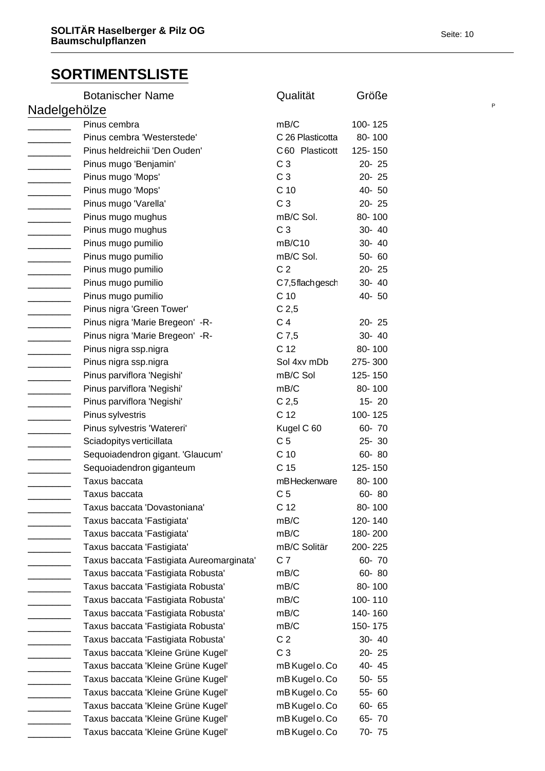|              | <b>Botanischer Name</b>                   | Qualität         | Größe     |  |
|--------------|-------------------------------------------|------------------|-----------|--|
| Nadelgehölze |                                           |                  |           |  |
|              | Pinus cembra                              | mB/C             | 100-125   |  |
|              | Pinus cembra 'Westerstede'                | C 26 Plasticotta | 80-100    |  |
|              | Pinus heldreichii 'Den Ouden'             | C60 Plasticott   | 125-150   |  |
|              | Pinus mugo 'Benjamin'                     | C <sub>3</sub>   | $20 - 25$ |  |
|              | Pinus mugo 'Mops'                         | C <sub>3</sub>   | $20 - 25$ |  |
|              | Pinus mugo 'Mops'                         | C <sub>10</sub>  | 40-50     |  |
|              | Pinus mugo 'Varella'                      | C <sub>3</sub>   | 20-25     |  |
|              | Pinus mugo mughus                         | mB/C Sol.        | 80-100    |  |
|              | Pinus mugo mughus                         | C <sub>3</sub>   | 30- 40    |  |
|              | Pinus mugo pumilio                        | mB/C10           | 30- 40    |  |
|              | Pinus mugo pumilio                        | mB/C Sol.        | 50-60     |  |
|              | Pinus mugo pumilio                        | C <sub>2</sub>   | 20-25     |  |
|              | Pinus mugo pumilio                        | C7,5flachgesch   | 30- 40    |  |
|              | Pinus mugo pumilio                        | C <sub>10</sub>  | 40-50     |  |
|              | Pinus nigra 'Green Tower'                 | C <sub>2,5</sub> |           |  |
|              | Pinus nigra 'Marie Bregeon' - R-          | C <sub>4</sub>   | 20-25     |  |
|              | Pinus nigra 'Marie Bregeon' - R-          | $C$ 7,5          | 30- 40    |  |
|              | Pinus nigra ssp.nigra                     | C 12             | 80-100    |  |
|              | Pinus nigra ssp.nigra                     | Sol 4xv mDb      | 275-300   |  |
|              | Pinus parviflora 'Negishi'                | mB/C Sol         | 125-150   |  |
|              | Pinus parviflora 'Negishi'                | mB/C             | 80-100    |  |
|              | Pinus parviflora 'Negishi'                | C <sub>2,5</sub> | $15 - 20$ |  |
|              | Pinus sylvestris                          | C <sub>12</sub>  | 100-125   |  |
|              | Pinus sylvestris 'Watereri'               | Kugel C 60       | 60-70     |  |
|              | Sciadopitys verticillata                  | C <sub>5</sub>   | $25 - 30$ |  |
|              | Sequoiadendron gigant. 'Glaucum'          | C <sub>10</sub>  | 60-80     |  |
|              | Sequoiadendron giganteum                  | C <sub>15</sub>  | 125-150   |  |
|              | Taxus baccata                             | mBHeckenware     | 80-100    |  |
|              | Taxus baccata                             | C <sub>5</sub>   | 60-80     |  |
|              | Taxus baccata 'Dovastoniana'              | C <sub>12</sub>  | 80-100    |  |
|              | Taxus baccata 'Fastigiata'                | mB/C             | 120-140   |  |
|              | Taxus baccata 'Fastigiata'                | mB/C             | 180-200   |  |
|              | Taxus baccata 'Fastigiata'                | mB/C Solitär     | 200-225   |  |
|              |                                           | C <sub>7</sub>   |           |  |
|              | Taxus baccata 'Fastigiata Aureomarginata' |                  | 60-70     |  |
|              | Taxus baccata 'Fastigiata Robusta'        | mB/C             | 60-80     |  |
|              | Taxus baccata 'Fastigiata Robusta'        | mB/C             | 80-100    |  |
|              | Taxus baccata 'Fastigiata Robusta'        | mB/C             | 100-110   |  |
|              | Taxus baccata 'Fastigiata Robusta'        | mB/C             | 140-160   |  |
|              | Taxus baccata 'Fastigiata Robusta'        | mB/C             | 150-175   |  |
|              | Taxus baccata 'Fastigiata Robusta'        | C <sub>2</sub>   | 30-40     |  |
|              | Taxus baccata 'Kleine Grüne Kugel'        | C <sub>3</sub>   | 20-25     |  |
|              | Taxus baccata 'Kleine Grüne Kugel'        | mB Kugel o. Co   | 40-45     |  |
|              | Taxus baccata 'Kleine Grüne Kugel'        | mB Kugel o. Co   | 50-55     |  |
|              | Taxus baccata 'Kleine Grüne Kugel'        | mB Kugel o. Co   | 55-60     |  |
|              | Taxus baccata 'Kleine Grüne Kugel'        | mB Kugel o. Co   | 60- 65    |  |
|              | Taxus baccata 'Kleine Grüne Kugel'        | mB Kugel o. Co   | 65-70     |  |
|              | Taxus baccata 'Kleine Grüne Kugel'        | mB Kugel o. Co   | 70-75     |  |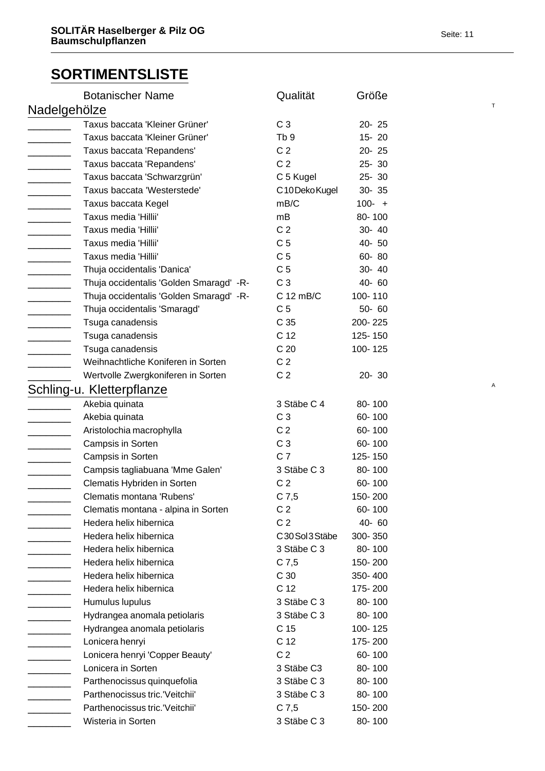| <b>Botanischer Name</b>                  | Qualität        | Größe     |  |
|------------------------------------------|-----------------|-----------|--|
| Nadelgehölze                             |                 |           |  |
| Taxus baccata 'Kleiner Grüner'           | C <sub>3</sub>  | 20-25     |  |
| Taxus baccata 'Kleiner Grüner'           | Tb <sub>9</sub> | $15 - 20$ |  |
| Taxus baccata 'Repandens'                | C <sub>2</sub>  | $20 - 25$ |  |
| Taxus baccata 'Repandens'                | C <sub>2</sub>  | $25 - 30$ |  |
| Taxus baccata 'Schwarzgrün'              | C 5 Kugel       | 25-30     |  |
| Taxus baccata 'Westerstede'              | C10DekoKugel    | $30 - 35$ |  |
| Taxus baccata Kegel                      | mB/C            | $100 - +$ |  |
| Taxus media 'Hillii'                     | mB              | 80-100    |  |
| Taxus media 'Hillii'                     | C <sub>2</sub>  | 30- 40    |  |
| Taxus media 'Hillii'                     | C <sub>5</sub>  | 40- 50    |  |
| Taxus media 'Hillii'                     | C <sub>5</sub>  | 60-80     |  |
| Thuja occidentalis 'Danica'              | C <sub>5</sub>  | 30- 40    |  |
| Thuja occidentalis 'Golden Smaragd' - R- | C <sub>3</sub>  | 40-60     |  |
| Thuja occidentalis 'Golden Smaragd' - R- | C 12 mB/C       | 100-110   |  |
| Thuja occidentalis 'Smaragd'             | C <sub>5</sub>  | 50-60     |  |
| Tsuga canadensis                         | C <sub>35</sub> | 200-225   |  |
| Tsuga canadensis                         | C 12            | 125-150   |  |
| Tsuga canadensis                         | C <sub>20</sub> | 100-125   |  |
| Weihnachtliche Koniferen in Sorten       | C <sub>2</sub>  |           |  |
| Wertvolle Zwergkoniferen in Sorten       | C <sub>2</sub>  | $20 - 30$ |  |
| Schling-u. Kletterpflanze                |                 |           |  |
| Akebia quinata                           | 3 Stäbe C 4     | 80-100    |  |
| Akebia quinata                           | C <sub>3</sub>  | 60-100    |  |
| Aristolochia macrophylla                 | C <sub>2</sub>  | 60-100    |  |
| Campsis in Sorten                        | C <sub>3</sub>  | 60-100    |  |
| Campsis in Sorten                        | C <sub>7</sub>  | 125-150   |  |
| Campsis tagliabuana 'Mme Galen'          | 3 Stäbe C 3     | 80-100    |  |
| Clematis Hybriden in Sorten              | C <sub>2</sub>  | 60-100    |  |
| Clematis montana 'Rubens'                | $C$ 7,5         | 150-200   |  |
| Clematis montana - alpina in Sorten      | C <sub>2</sub>  | 60-100    |  |
| Hedera helix hibernica                   | C <sub>2</sub>  | 40-60     |  |
| Hedera helix hibernica                   | C30Sol3Stäbe    | 300-350   |  |
| Hedera helix hibernica                   | 3 Stäbe C 3     | 80-100    |  |
| Hedera helix hibernica                   | $C$ 7,5         | 150-200   |  |
| Hedera helix hibernica                   | C 30            | 350-400   |  |
| Hedera helix hibernica                   | C 12            | 175-200   |  |
| Humulus lupulus                          | 3 Stäbe C 3     | 80-100    |  |
| Hydrangea anomala petiolaris             | 3 Stäbe C 3     | 80-100    |  |
| Hydrangea anomala petiolaris             | C 15            | 100-125   |  |
| Lonicera henryi                          | C 12            | 175-200   |  |
| Lonicera henryi 'Copper Beauty'          | C <sub>2</sub>  | 60-100    |  |
| Lonicera in Sorten                       | 3 Stäbe C3      | 80-100    |  |
| Parthenocissus quinquefolia              | 3 Stäbe C 3     | 80-100    |  |
| Parthenocissus tric.'Veitchii'           | 3 Stäbe C 3     | 80-100    |  |
| Parthenocissus tric.'Veitchii'           | $C$ 7,5         | 150-200   |  |
| Wisteria in Sorten                       | 3 Stäbe C 3     | 80-100    |  |
|                                          |                 |           |  |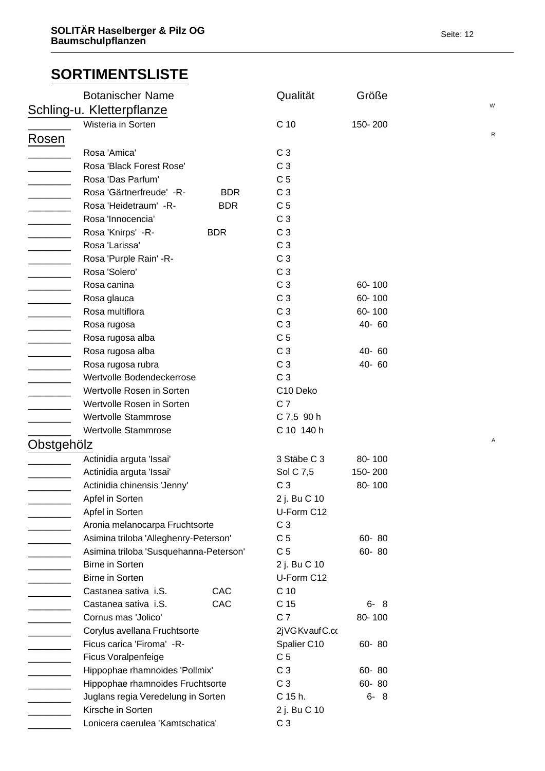|                          | <b>Botanischer Name</b>                 | Qualität        | Größe   | W         |
|--------------------------|-----------------------------------------|-----------------|---------|-----------|
|                          | Schling-u. Kletterpflanze               |                 |         |           |
|                          | Wisteria in Sorten                      | C 10            | 150-200 | ${\sf R}$ |
| Rosen                    |                                         |                 |         |           |
|                          | Rosa 'Amica'                            | C <sub>3</sub>  |         |           |
|                          | Rosa 'Black Forest Rose'                | C <sub>3</sub>  |         |           |
|                          | Rosa 'Das Parfum'                       | C <sub>5</sub>  |         |           |
| $\overline{\phantom{a}}$ | Rosa 'Gärtnerfreude' - R-<br><b>BDR</b> | C <sub>3</sub>  |         |           |
|                          | Rosa 'Heidetraum' -R-<br><b>BDR</b>     | C <sub>5</sub>  |         |           |
|                          | Rosa 'Innocencia'                       | C <sub>3</sub>  |         |           |
| _______                  | Rosa 'Knirps' -R-<br><b>BDR</b>         | C <sub>3</sub>  |         |           |
|                          | Rosa 'Larissa'                          | C <sub>3</sub>  |         |           |
|                          | Rosa 'Purple Rain' -R-                  | C <sub>3</sub>  |         |           |
| $\overline{\phantom{a}}$ | Rosa 'Solero'                           | C <sub>3</sub>  |         |           |
|                          | Rosa canina                             | C <sub>3</sub>  | 60-100  |           |
| $\overline{a}$           | Rosa glauca                             | C <sub>3</sub>  | 60-100  |           |
|                          | Rosa multiflora                         | C <sub>3</sub>  | 60-100  |           |
|                          | Rosa rugosa                             | C <sub>3</sub>  | 40-60   |           |
|                          | Rosa rugosa alba                        | C <sub>5</sub>  |         |           |
| $\overline{\phantom{a}}$ | Rosa rugosa alba                        | C <sub>3</sub>  | 40-60   |           |
| $\overline{\phantom{a}}$ | Rosa rugosa rubra                       | C <sub>3</sub>  | 40-60   |           |
| <u>________</u> ____     | Wertvolle Bodendeckerrose               | C <sub>3</sub>  |         |           |
|                          | Wertvolle Rosen in Sorten               | C10 Deko        |         |           |
| $\overline{\phantom{a}}$ | Wertvolle Rosen in Sorten               | C <sub>7</sub>  |         |           |
|                          | Wertvolle Stammrose                     | C 7,5 90 h      |         |           |
|                          | Wertvolle Stammrose                     | C 10 140 h      |         |           |
| Obstgehölz               |                                         |                 |         | A         |
|                          | Actinidia arguta 'Issai'                | 3 Stäbe C 3     | 80-100  |           |
|                          | Actinidia arguta 'Issai'                | Sol C 7,5       | 150-200 |           |
|                          | Actinidia chinensis 'Jenny'             | C <sub>3</sub>  | 80-100  |           |
|                          | Apfel in Sorten                         | 2 j. Bu C 10    |         |           |
|                          | Apfel in Sorten                         | U-Form C12      |         |           |
|                          | Aronia melanocarpa Fruchtsorte          | C <sub>3</sub>  |         |           |
|                          | Asimina triloba 'Alleghenry-Peterson'   | C <sub>5</sub>  | 60-80   |           |
|                          | Asimina triloba 'Susquehanna-Peterson'  | C <sub>5</sub>  | 60-80   |           |
|                          | <b>Birne in Sorten</b>                  | 2 j. Bu C 10    |         |           |
|                          | <b>Birne in Sorten</b>                  | U-Form C12      |         |           |
|                          | CAC<br>Castanea sativa i.S.             | C <sub>10</sub> |         |           |
|                          | CAC<br>Castanea sativa i.S.             | C 15            | $6 - 8$ |           |
|                          | Cornus mas 'Jolico'                     | C <sub>7</sub>  | 80-100  |           |
|                          | Corylus avellana Fruchtsorte            | 2jVGKvaufC.co   |         |           |
|                          | Ficus carica 'Firoma' -R-               | Spalier C10     | 60-80   |           |
|                          | Ficus Voralpenfeige                     | C <sub>5</sub>  |         |           |
| ______                   | Hippophae rhamnoides 'Pollmix'          | C <sub>3</sub>  | 60-80   |           |
| $\frac{1}{2}$            | Hippophae rhamnoides Fruchtsorte        | C <sub>3</sub>  | 60-80   |           |
|                          | Juglans regia Veredelung in Sorten      | C 15 h.         | $6 - 8$ |           |
|                          | Kirsche in Sorten                       | 2 j. Bu C 10    |         |           |
|                          | Lonicera caerulea 'Kamtschatica'        | C <sub>3</sub>  |         |           |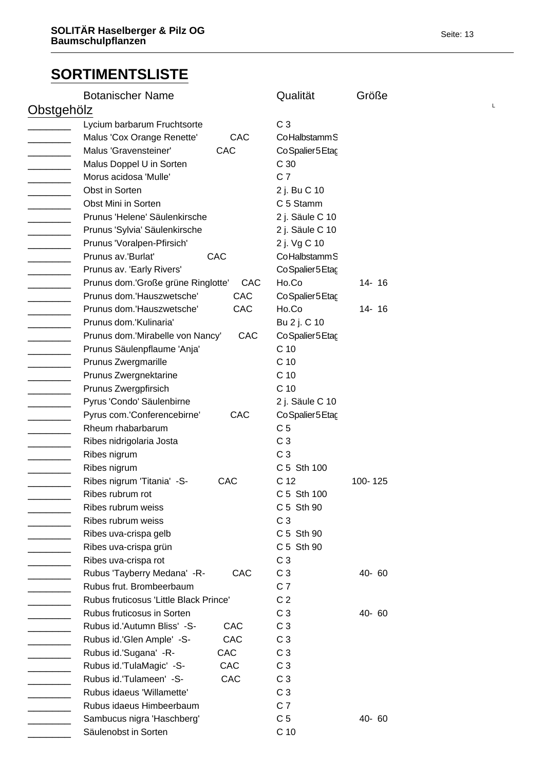| <b>Botanischer Name</b>                |     | Qualität          | Größe     |  |
|----------------------------------------|-----|-------------------|-----------|--|
| Obstgehölz                             |     |                   |           |  |
| Lycium barbarum Fruchtsorte            |     | C <sub>3</sub>    |           |  |
| Malus 'Cox Orange Renette'             | CAC | CoHalbstamm S     |           |  |
| Malus 'Gravensteiner'                  | CAC | Co Spalier 5 Etac |           |  |
| Malus Doppel U in Sorten               |     | C <sub>30</sub>   |           |  |
| Morus acidosa 'Mulle'                  |     | C <sub>7</sub>    |           |  |
| Obst in Sorten                         |     | 2 j. Bu C 10      |           |  |
| Obst Mini in Sorten                    |     | C 5 Stamm         |           |  |
| Prunus 'Helene' Säulenkirsche          |     | 2 j. Säule C 10   |           |  |
| Prunus 'Sylvia' Säulenkirsche          |     | 2 j. Säule C 10   |           |  |
| Prunus 'Voralpen-Pfirsich'             |     | 2 j. Vg C 10      |           |  |
| Prunus av.'Burlat'<br>CAC              |     | CoHalbstamm S     |           |  |
| Prunus av. 'Early Rivers'              |     | CoSpalier5Etac    |           |  |
| Prunus dom.'Große grüne Ringlotte'     | CAC | Ho.Co             | $14 - 16$ |  |
| Prunus dom.'Hauszwetsche'              | CAC | CoSpalier5Etac    |           |  |
| Prunus dom.'Hauszwetsche'              | CAC | Ho.Co             | $14 - 16$ |  |
| Prunus dom.'Kulinaria'                 |     | Bu 2 j. C 10      |           |  |
| Prunus dom.'Mirabelle von Nancy'       | CAC | Co Spalier 5 Etaç |           |  |
| Prunus Säulenpflaume 'Anja'            |     | C <sub>10</sub>   |           |  |
| Prunus Zwergmarille                    |     | C <sub>10</sub>   |           |  |
| Prunus Zwergnektarine                  |     | C <sub>10</sub>   |           |  |
| Prunus Zwergpfirsich                   |     | C <sub>10</sub>   |           |  |
| Pyrus 'Condo' Säulenbirne              |     | 2 j. Säule C 10   |           |  |
| Pyrus com.'Conferencebirne'            | CAC | Co Spalier 5 Etac |           |  |
| Rheum rhabarbarum                      |     | C <sub>5</sub>    |           |  |
| Ribes nidrigolaria Josta               |     | C <sub>3</sub>    |           |  |
| Ribes nigrum                           |     | C <sub>3</sub>    |           |  |
| Ribes nigrum                           |     | C 5 Sth 100       |           |  |
| Ribes nigrum 'Titania' -S-             | CAC | C <sub>12</sub>   | 100-125   |  |
| Ribes rubrum rot                       |     | C 5 Sth 100       |           |  |
| Ribes rubrum weiss                     |     | C 5 Sth 90        |           |  |
| Ribes rubrum weiss                     |     | C <sub>3</sub>    |           |  |
| Ribes uva-crispa gelb                  |     | C 5 Sth 90        |           |  |
| Ribes uva-crispa grün                  |     | C 5 Sth 90        |           |  |
| Ribes uva-crispa rot                   |     | C <sub>3</sub>    |           |  |
| Rubus 'Tayberry Medana' -R-            | CAC | C <sub>3</sub>    | 40-60     |  |
| Rubus frut. Brombeerbaum               |     | C <sub>7</sub>    |           |  |
| Rubus fruticosus 'Little Black Prince' |     | C <sub>2</sub>    |           |  |
| Rubus fruticosus in Sorten             |     | C <sub>3</sub>    | 40-60     |  |
| Rubus id.'Autumn Bliss' -S-            | CAC | C <sub>3</sub>    |           |  |
| Rubus id.'Glen Ample' -S-              | CAC | C <sub>3</sub>    |           |  |
| Rubus id.'Sugana' -R-                  | CAC | C <sub>3</sub>    |           |  |
| Rubus id.'TulaMagic' -S-               | CAC | C <sub>3</sub>    |           |  |
| Rubus id.'Tulameen' -S-                | CAC | C <sub>3</sub>    |           |  |
| Rubus idaeus 'Willamette'              |     | C <sub>3</sub>    |           |  |
| Rubus idaeus Himbeerbaum               |     | C <sub>7</sub>    |           |  |
| Sambucus nigra 'Haschberg'             |     | C <sub>5</sub>    | 40-60     |  |
| Säulenobst in Sorten                   |     | C <sub>10</sub>   |           |  |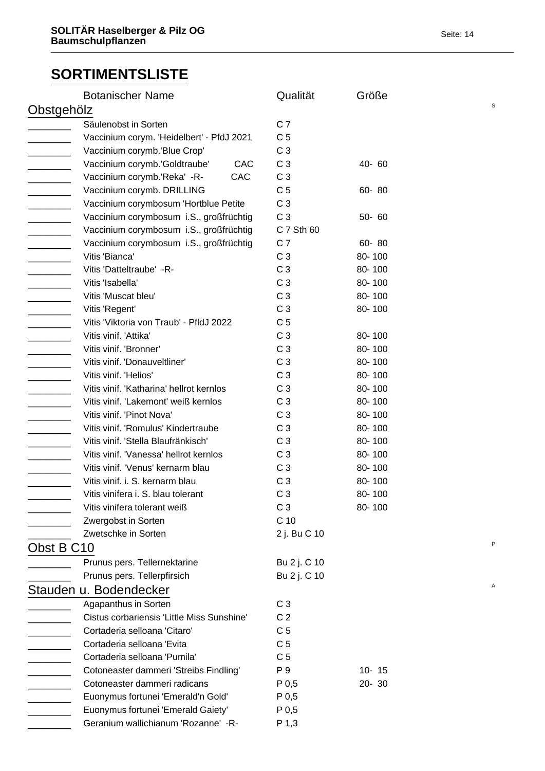|            | <b>Botanischer Name</b>                    | Qualität         | Größe     |   |  |
|------------|--------------------------------------------|------------------|-----------|---|--|
| Obstgehölz |                                            |                  |           | S |  |
|            | Säulenobst in Sorten                       | C <sub>7</sub>   |           |   |  |
|            | Vaccinium corym. 'Heidelbert' - PfdJ 2021  | C <sub>5</sub>   |           |   |  |
|            | Vaccinium corymb.'Blue Crop'               | C <sub>3</sub>   |           |   |  |
|            | Vaccinium corymb.'Goldtraube'<br>CAC       | C <sub>3</sub>   | 40-60     |   |  |
|            | CAC<br>Vaccinium corymb.'Reka' -R-         | C <sub>3</sub>   |           |   |  |
|            | Vaccinium corymb. DRILLING                 | C <sub>5</sub>   | 60-80     |   |  |
|            | Vaccinium corymbosum 'Hortblue Petite      | C <sub>3</sub>   |           |   |  |
|            | Vaccinium corymbosum i.S., großfrüchtig    | C <sub>3</sub>   | 50-60     |   |  |
|            | Vaccinium corymbosum i.S., großfrüchtig    | C 7 Sth 60       |           |   |  |
|            | Vaccinium corymbosum i.S., großfrüchtig    | C <sub>7</sub>   | 60-80     |   |  |
|            | Vitis 'Bianca'                             | C <sub>3</sub>   | 80-100    |   |  |
|            | Vitis 'Datteltraube' -R-                   | C <sub>3</sub>   | 80-100    |   |  |
|            | Vitis 'Isabella'                           | C <sub>3</sub>   | 80-100    |   |  |
|            | Vitis 'Muscat bleu'                        | C <sub>3</sub>   | 80-100    |   |  |
|            | Vitis 'Regent'                             | C <sub>3</sub>   | 80-100    |   |  |
|            | Vitis 'Viktoria von Traub' - PfldJ 2022    | C <sub>5</sub>   |           |   |  |
|            | Vitis vinif. 'Attika'                      | C <sub>3</sub>   | 80-100    |   |  |
|            | Vitis vinif. 'Bronner'                     | C <sub>3</sub>   | 80-100    |   |  |
|            | Vitis vinif. 'Donauveltliner'              | C <sub>3</sub>   | 80-100    |   |  |
|            | Vitis vinif. 'Helios'                      | C <sub>3</sub>   | 80-100    |   |  |
|            | Vitis vinif. 'Katharina' hellrot kernlos   | C <sub>3</sub>   | 80-100    |   |  |
|            | Vitis vinif. 'Lakemont' weiß kernlos       | C <sub>3</sub>   | 80-100    |   |  |
|            | Vitis vinif. 'Pinot Nova'                  | C <sub>3</sub>   | 80-100    |   |  |
|            | Vitis vinif. 'Romulus' Kindertraube        | C <sub>3</sub>   | 80-100    |   |  |
|            | Vitis vinif. 'Stella Blaufränkisch'        | C <sub>3</sub>   | 80-100    |   |  |
|            | Vitis vinif. 'Vanessa' hellrot kernlos     | C <sub>3</sub>   | 80-100    |   |  |
|            | Vitis vinif. 'Venus' kernarm blau          | C <sub>3</sub>   | 80-100    |   |  |
|            | Vitis vinif. i. S. kernarm blau            | C <sub>3</sub>   | 80-100    |   |  |
|            | Vitis vinifera i. S. blau tolerant         | C <sub>3</sub>   | 80-100    |   |  |
|            | Vitis vinifera tolerant weiß               | C <sub>3</sub>   | 80-100    |   |  |
|            | Zwergobst in Sorten                        | C <sub>10</sub>  |           |   |  |
|            | Zwetschke in Sorten                        | 2 j. Bu C 10     |           |   |  |
| Obst B C10 |                                            |                  |           | P |  |
|            | Prunus pers. Tellernektarine               | Bu 2 j. C 10     |           |   |  |
|            | Prunus pers. Tellerpfirsich                | Bu 2 j. C 10     |           |   |  |
|            | Stauden u. Bodendecker                     |                  |           | Α |  |
|            | Agapanthus in Sorten                       | C <sub>3</sub>   |           |   |  |
|            | Cistus corbariensis 'Little Miss Sunshine' | C <sub>2</sub>   |           |   |  |
|            | Cortaderia selloana 'Citaro'               | C <sub>5</sub>   |           |   |  |
|            | Cortaderia selloana 'Evita                 | C <sub>5</sub>   |           |   |  |
|            | Cortaderia selloana 'Pumila'               | C <sub>5</sub>   |           |   |  |
|            | Cotoneaster dammeri 'Streibs Findling'     | P 9              | $10 - 15$ |   |  |
|            | Cotoneaster dammeri radicans               | P <sub>0,5</sub> | $20 - 30$ |   |  |
|            | Euonymus fortunei 'Emerald'n Gold'         | P <sub>0,5</sub> |           |   |  |
|            | Euonymus fortunei 'Emerald Gaiety'         | P <sub>0,5</sub> |           |   |  |
|            | Geranium wallichianum 'Rozanne' -R-        | P 1,3            |           |   |  |
|            |                                            |                  |           |   |  |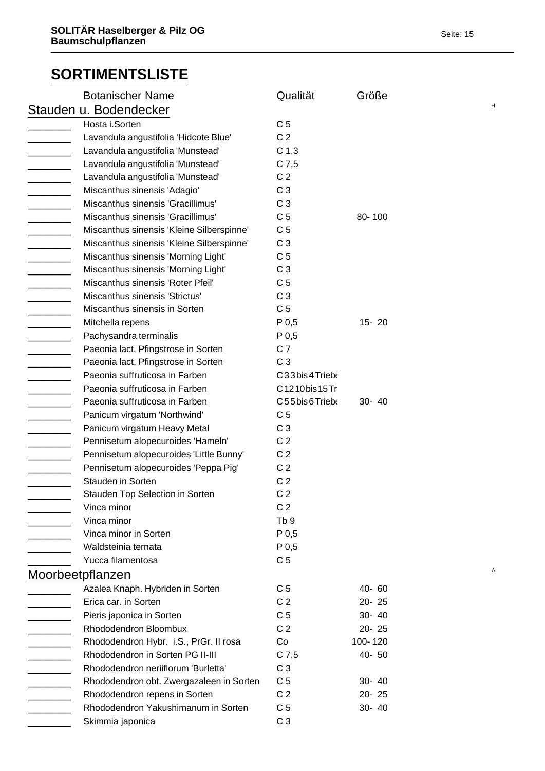|                                                                                         | <b>Botanischer Name</b>                   | Qualität         | Größe     |   |
|-----------------------------------------------------------------------------------------|-------------------------------------------|------------------|-----------|---|
|                                                                                         | Stauden u. Bodendecker                    |                  |           | н |
|                                                                                         | Hosta i.Sorten                            | C <sub>5</sub>   |           |   |
|                                                                                         | Lavandula angustifolia 'Hidcote Blue'     | C <sub>2</sub>   |           |   |
|                                                                                         | Lavandula angustifolia 'Munstead'         | C <sub>1,3</sub> |           |   |
| $\overline{\phantom{a}}$                                                                | Lavandula angustifolia 'Munstead'         | $C$ 7,5          |           |   |
| $\mathcal{L}^{\text{max}}_{\text{max}}$ , where $\mathcal{L}^{\text{max}}_{\text{max}}$ | Lavandula angustifolia 'Munstead'         | C <sub>2</sub>   |           |   |
|                                                                                         | Miscanthus sinensis 'Adagio'              | C <sub>3</sub>   |           |   |
|                                                                                         | Miscanthus sinensis 'Gracillimus'         | C <sub>3</sub>   |           |   |
|                                                                                         | Miscanthus sinensis 'Gracillimus'         | C <sub>5</sub>   | 80-100    |   |
| $\overline{\phantom{a}}$                                                                | Miscanthus sinensis 'Kleine Silberspinne' | C <sub>5</sub>   |           |   |
|                                                                                         | Miscanthus sinensis 'Kleine Silberspinne' | C <sub>3</sub>   |           |   |
|                                                                                         | Miscanthus sinensis 'Morning Light'       | C <sub>5</sub>   |           |   |
|                                                                                         | Miscanthus sinensis 'Morning Light'       | C <sub>3</sub>   |           |   |
| <u> a shekara ta 1991</u>                                                               | Miscanthus sinensis 'Roter Pfeil'         | C <sub>5</sub>   |           |   |
| $\overline{\phantom{a}}$                                                                | Miscanthus sinensis 'Strictus'            | C <sub>3</sub>   |           |   |
|                                                                                         | Miscanthus sinensis in Sorten             | C <sub>5</sub>   |           |   |
|                                                                                         | Mitchella repens                          | P 0,5            | $15 - 20$ |   |
|                                                                                         | Pachysandra terminalis                    | P 0,5            |           |   |
| $\overline{\phantom{a}}$                                                                | Paeonia lact. Pfingstrose in Sorten       | C <sub>7</sub>   |           |   |
| $\overline{\phantom{a}}$                                                                | Paeonia lact. Pfingstrose in Sorten       | C <sub>3</sub>   |           |   |
|                                                                                         | Paeonia suffruticosa in Farben            | C33bis4Trieb6    |           |   |
|                                                                                         | Paeonia suffruticosa in Farben            | C1210bis15Tri    |           |   |
| $\mathcal{L}^{\text{max}}$ , where $\mathcal{L}^{\text{max}}$                           | Paeonia suffruticosa in Farben            | C55bis6Triebe    | 30- 40    |   |
|                                                                                         | Panicum virgatum 'Northwind'              | C <sub>5</sub>   |           |   |
|                                                                                         | Panicum virgatum Heavy Metal              | C <sub>3</sub>   |           |   |
|                                                                                         | Pennisetum alopecuroides 'Hameln'         | C <sub>2</sub>   |           |   |
|                                                                                         | Pennisetum alopecuroides 'Little Bunny'   | C <sub>2</sub>   |           |   |
|                                                                                         | Pennisetum alopecuroides 'Peppa Pig'      | C <sub>2</sub>   |           |   |
|                                                                                         | Stauden in Sorten                         | C <sub>2</sub>   |           |   |
|                                                                                         | Stauden Top Selection in Sorten           | C <sub>2</sub>   |           |   |
|                                                                                         | Vinca minor                               | C <sub>2</sub>   |           |   |
|                                                                                         | Vinca minor                               | Tb <sub>9</sub>  |           |   |
|                                                                                         | Vinca minor in Sorten                     | P 0,5            |           |   |
|                                                                                         | Waldsteinia ternata                       | P 0,5            |           |   |
|                                                                                         | Yucca filamentosa                         | C <sub>5</sub>   |           |   |
|                                                                                         | Moorbeetpflanzen                          |                  |           | Α |
|                                                                                         | Azalea Knaph. Hybriden in Sorten          | C <sub>5</sub>   | 40-60     |   |
|                                                                                         | Erica car. in Sorten                      | C <sub>2</sub>   | $20 - 25$ |   |
|                                                                                         | Pieris japonica in Sorten                 | C <sub>5</sub>   | 30- 40    |   |
|                                                                                         | Rhododendron Bloombux                     | C <sub>2</sub>   | 20-25     |   |
|                                                                                         | Rhododendron Hybr. i.S., PrGr. II rosa    | Co               | 100-120   |   |
|                                                                                         | Rhododendron in Sorten PG II-III          | $C$ 7,5          | 40-50     |   |
|                                                                                         | Rhododendron neriiflorum 'Burletta'       | C <sub>3</sub>   |           |   |
|                                                                                         | Rhododendron obt. Zwergazaleen in Sorten  | C <sub>5</sub>   | 30- 40    |   |
|                                                                                         | Rhododendron repens in Sorten             | C <sub>2</sub>   | 20-25     |   |
|                                                                                         | Rhododendron Yakushimanum in Sorten       | C <sub>5</sub>   | 30- 40    |   |
|                                                                                         | Skimmia japonica                          | C <sub>3</sub>   |           |   |
|                                                                                         |                                           |                  |           |   |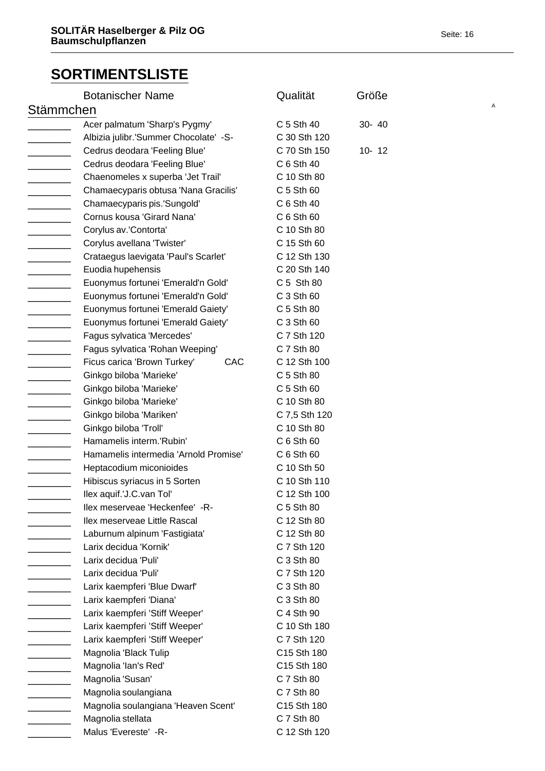|           | <b>Botanischer Name</b>               | Qualität      | Größe     |   |
|-----------|---------------------------------------|---------------|-----------|---|
| Stämmchen |                                       |               |           | Α |
|           | Acer palmatum 'Sharp's Pygmy'         | C 5 Sth 40    | 30- 40    |   |
|           | Albizia julibr.'Summer Chocolate' -S- | C 30 Sth 120  |           |   |
|           | Cedrus deodara 'Feeling Blue'         | C 70 Sth 150  | $10 - 12$ |   |
|           | Cedrus deodara 'Feeling Blue'         | C 6 Sth 40    |           |   |
|           | Chaenomeles x superba 'Jet Trail'     | C 10 Sth 80   |           |   |
|           | Chamaecyparis obtusa 'Nana Gracilis'  | C 5 Sth 60    |           |   |
|           | Chamaecyparis pis.'Sungold'           | C 6 Sth 40    |           |   |
|           | Cornus kousa 'Girard Nana'            | C 6 Sth 60    |           |   |
|           | Corylus av.'Contorta'                 | C 10 Sth 80   |           |   |
|           | Corylus avellana 'Twister'            | C 15 Sth 60   |           |   |
|           | Crataegus laevigata 'Paul's Scarlet'  | C 12 Sth 130  |           |   |
|           | Euodia hupehensis                     | C 20 Sth 140  |           |   |
|           | Euonymus fortunei 'Emerald'n Gold'    | C 5 Sth 80    |           |   |
|           | Euonymus fortunei 'Emerald'n Gold'    | C 3 Sth 60    |           |   |
|           | Euonymus fortunei 'Emerald Gaiety'    | C 5 Sth 80    |           |   |
|           | Euonymus fortunei 'Emerald Gaiety'    | C 3 Sth 60    |           |   |
|           | Fagus sylvatica 'Mercedes'            | C 7 Sth 120   |           |   |
|           | Fagus sylvatica 'Rohan Weeping'       | C 7 Sth 80    |           |   |
|           | Ficus carica 'Brown Turkey'<br>CAC    | C 12 Sth 100  |           |   |
|           | Ginkgo biloba 'Marieke'               | C 5 Sth 80    |           |   |
|           | Ginkgo biloba 'Marieke'               | C 5 Sth 60    |           |   |
|           | Ginkgo biloba 'Marieke'               | C 10 Sth 80   |           |   |
|           | Ginkgo biloba 'Mariken'               | C 7,5 Sth 120 |           |   |
|           | Ginkgo biloba 'Troll'                 | C 10 Sth 80   |           |   |
|           | Hamamelis interm.'Rubin'              | C 6 Sth 60    |           |   |
|           | Hamamelis intermedia 'Arnold Promise' | C 6 Sth 60    |           |   |
|           | Heptacodium miconioides               | C 10 Sth 50   |           |   |
|           | Hibiscus syriacus in 5 Sorten         | C 10 Sth 110  |           |   |
|           | llex aquif.'J.C.van Tol'              | C 12 Sth 100  |           |   |
|           | llex meserveae 'Heckenfee' -R-        | C 5 Sth 80    |           |   |
|           | Ilex meserveae Little Rascal          | C 12 Sth 80   |           |   |
|           | Laburnum alpinum 'Fastigiata'         | C 12 Sth 80   |           |   |
|           | Larix decidua 'Kornik'                | C 7 Sth 120   |           |   |
|           | Larix decidua 'Puli'                  | C 3 Sth 80    |           |   |
|           | Larix decidua 'Puli'                  | C 7 Sth 120   |           |   |
|           | Larix kaempferi 'Blue Dwarf'          | C 3 Sth 80    |           |   |
|           | Larix kaempferi 'Diana'               | C 3 Sth 80    |           |   |
|           | Larix kaempferi 'Stiff Weeper'        | C 4 Sth 90    |           |   |
|           | Larix kaempferi 'Stiff Weeper'        | C 10 Sth 180  |           |   |
|           | Larix kaempferi 'Stiff Weeper'        | C 7 Sth 120   |           |   |
|           | Magnolia 'Black Tulip                 | C15 Sth 180   |           |   |
|           | Magnolia 'lan's Red'                  | C15 Sth 180   |           |   |
|           | Magnolia 'Susan'                      | C 7 Sth 80    |           |   |
|           | Magnolia soulangiana                  | C 7 Sth 80    |           |   |
|           | Magnolia soulangiana 'Heaven Scent'   | C15 Sth 180   |           |   |
|           | Magnolia stellata                     | C 7 Sth 80    |           |   |
|           | Malus 'Evereste' - R-                 | C 12 Sth 120  |           |   |
|           |                                       |               |           |   |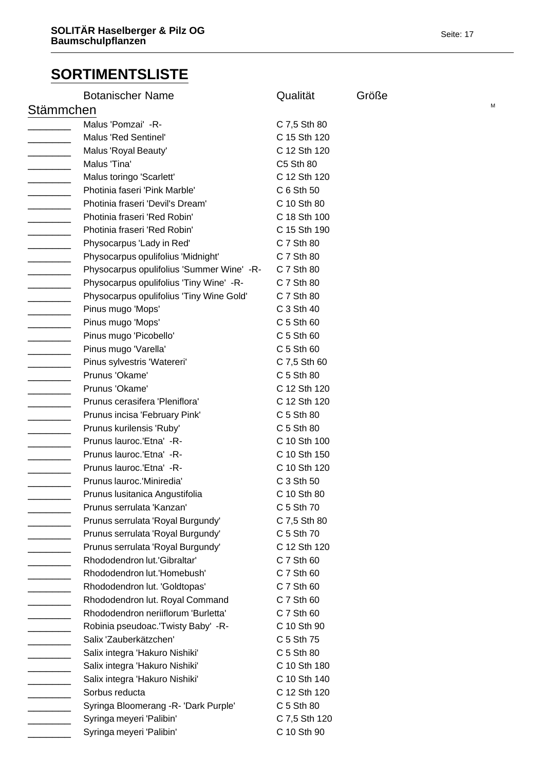|                          | <b>Botanischer Name</b>                   | Qualität      | Größe |   |
|--------------------------|-------------------------------------------|---------------|-------|---|
| Stämmchen                |                                           |               |       | М |
|                          | Malus 'Pomzai' -R-                        | C 7,5 Sth 80  |       |   |
|                          | Malus 'Red Sentinel'                      | C 15 Sth 120  |       |   |
|                          | Malus 'Royal Beauty'                      | C 12 Sth 120  |       |   |
|                          | Malus 'Tina'                              | C5 Sth 80     |       |   |
| $\overline{\phantom{a}}$ | Malus toringo 'Scarlett'                  | C 12 Sth 120  |       |   |
|                          | Photinia faseri 'Pink Marble'             | C 6 Sth 50    |       |   |
|                          | Photinia fraseri 'Devil's Dream'          | C 10 Sth 80   |       |   |
|                          | Photinia fraseri 'Red Robin'              | C 18 Sth 100  |       |   |
|                          | Photinia fraseri 'Red Robin'              | C 15 Sth 190  |       |   |
| ——————————               | Physocarpus 'Lady in Red'                 | C 7 Sth 80    |       |   |
|                          | Physocarpus opulifolius 'Midnight'        | C 7 Sth 80    |       |   |
|                          | Physocarpus opulifolius 'Summer Wine' -R- | C 7 Sth 80    |       |   |
|                          | Physocarpus opulifolius 'Tiny Wine' -R-   | C 7 Sth 80    |       |   |
|                          | Physocarpus opulifolius 'Tiny Wine Gold'  | C 7 Sth 80    |       |   |
| $\overline{\phantom{a}}$ | Pinus mugo 'Mops'                         | C 3 Sth 40    |       |   |
|                          | Pinus mugo 'Mops'                         | C 5 Sth 60    |       |   |
| $\frac{1}{1}$            | Pinus mugo 'Picobello'                    | C 5 Sth 60    |       |   |
|                          | Pinus mugo 'Varella'                      | C 5 Sth 60    |       |   |
| _____________            | Pinus sylvestris 'Watereri'               | C 7,5 Sth 60  |       |   |
|                          | Prunus 'Okame'                            | C 5 Sth 80    |       |   |
|                          | Prunus 'Okame'                            | C 12 Sth 120  |       |   |
|                          | Prunus cerasifera 'Pleniflora'            | C 12 Sth 120  |       |   |
|                          | Prunus incisa 'February Pink'             | C 5 Sth 80    |       |   |
|                          | Prunus kurilensis 'Ruby'                  | C 5 Sth 80    |       |   |
|                          | Prunus lauroc.'Etna' -R-                  | C 10 Sth 100  |       |   |
|                          | Prunus lauroc.'Etna' -R-                  | C 10 Sth 150  |       |   |
|                          | Prunus lauroc.'Etna' -R-                  | C 10 Sth 120  |       |   |
|                          | Prunus lauroc.'Miniredia'                 | C 3 Sth 50    |       |   |
|                          | Prunus Iusitanica Angustifolia            | C 10 Sth 80   |       |   |
|                          | Prunus serrulata 'Kanzan'                 | C 5 Sth 70    |       |   |
|                          | Prunus serrulata 'Royal Burgundy'         | C 7,5 Sth 80  |       |   |
|                          | Prunus serrulata 'Royal Burgundy'         | C 5 Sth 70    |       |   |
|                          | Prunus serrulata 'Royal Burgundy'         | C 12 Sth 120  |       |   |
|                          | Rhododendron lut.'Gibraltar'              | C 7 Sth 60    |       |   |
|                          | Rhododendron lut.'Homebush'               | C 7 Sth 60    |       |   |
|                          | Rhododendron lut. 'Goldtopas'             | C 7 Sth 60    |       |   |
| $\overline{\phantom{a}}$ | Rhododendron lut. Royal Command           | C 7 Sth 60    |       |   |
|                          | Rhododendron neriiflorum 'Burletta'       | C 7 Sth 60    |       |   |
|                          | Robinia pseudoac. Twisty Baby' -R-        | C 10 Sth 90   |       |   |
|                          | Salix 'Zauberkätzchen'                    | C 5 Sth 75    |       |   |
|                          | Salix integra 'Hakuro Nishiki'            | C 5 Sth 80    |       |   |
|                          | Salix integra 'Hakuro Nishiki'            | C 10 Sth 180  |       |   |
|                          | Salix integra 'Hakuro Nishiki'            | C 10 Sth 140  |       |   |
|                          | Sorbus reducta                            | C 12 Sth 120  |       |   |
|                          | Syringa Bloomerang - R- 'Dark Purple'     | C 5 Sth 80    |       |   |
|                          | Syringa meyeri 'Palibin'                  | C 7,5 Sth 120 |       |   |
|                          | Syringa meyeri 'Palibin'                  | C 10 Sth 90   |       |   |
|                          |                                           |               |       |   |